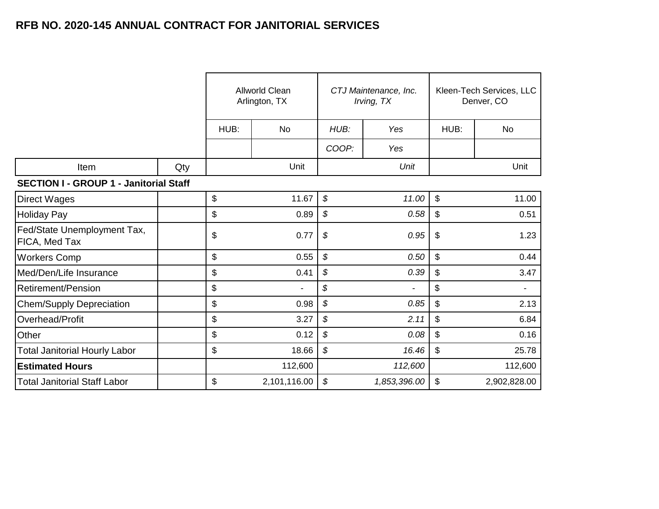|                                               |     | Allworld Clean<br>Arlington, TX |              |                            | CTJ Maintenance, Inc.<br>Irving, TX | Kleen-Tech Services, LLC<br>Denver, CO |              |
|-----------------------------------------------|-----|---------------------------------|--------------|----------------------------|-------------------------------------|----------------------------------------|--------------|
|                                               |     | HUB:                            | No           | HUB:                       | Yes                                 | HUB:                                   | No           |
|                                               |     |                                 |              | COOP:                      | Yes                                 |                                        |              |
| Item                                          | Qty |                                 | Unit         |                            | Unit                                |                                        | Unit         |
| <b>SECTION I - GROUP 1 - Janitorial Staff</b> |     |                                 |              |                            |                                     |                                        |              |
| <b>Direct Wages</b>                           |     | \$                              | 11.67        | $\boldsymbol{\mathcal{S}}$ | 11.00                               | \$                                     | 11.00        |
| <b>Holiday Pay</b>                            |     | \$                              | 0.89         | $\boldsymbol{\mathcal{S}}$ | 0.58                                | \$                                     | 0.51         |
| Fed/State Unemployment Tax,<br>FICA, Med Tax  |     | \$                              | 0.77         | $\boldsymbol{\mathcal{S}}$ | 0.95                                | \$                                     | 1.23         |
| <b>Workers Comp</b>                           |     | \$                              | 0.55         | $\boldsymbol{\mathcal{S}}$ | 0.50                                | \$                                     | 0.44         |
| Med/Den/Life Insurance                        |     | \$                              | 0.41         | $\boldsymbol{\mathcal{S}}$ | 0.39                                | \$                                     | 3.47         |
| <b>Retirement/Pension</b>                     |     | \$                              |              | \$                         | $\blacksquare$                      | \$                                     |              |
| <b>Chem/Supply Depreciation</b>               |     | \$                              | 0.98         | \$                         | 0.85                                | \$                                     | 2.13         |
| Overhead/Profit                               |     | \$                              | 3.27         | $\boldsymbol{\mathcal{S}}$ | 2.11                                | \$                                     | 6.84         |
| Other                                         |     | \$                              | 0.12         | $\boldsymbol{\mathcal{S}}$ | 0.08                                | \$                                     | 0.16         |
| <b>Total Janitorial Hourly Labor</b>          |     | \$                              | 18.66        | \$                         | 16.46                               | \$                                     | 25.78        |
| <b>Estimated Hours</b>                        |     |                                 | 112,600      |                            | 112,600                             |                                        | 112,600      |
| Total Janitorial Staff Labor                  |     | \$                              | 2,101,116.00 | $\boldsymbol{\mathcal{S}}$ | 1,853,396.00                        | \$                                     | 2,902,828.00 |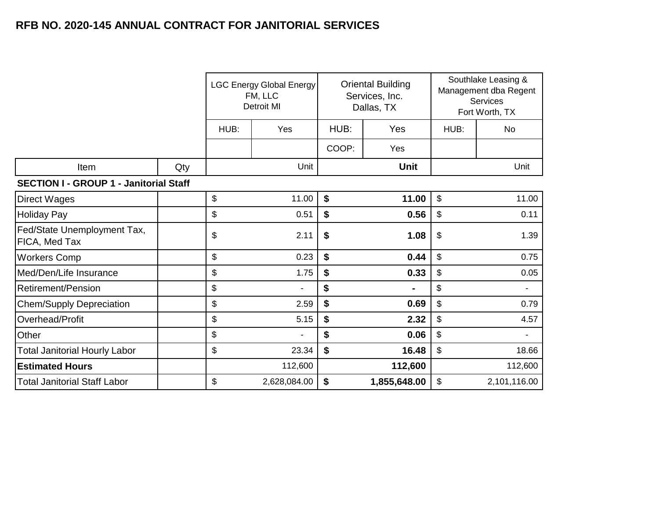|                                               |     |             | <b>LGC Energy Global Energy</b><br>FM, LLC<br><b>Detroit MI</b> |             | <b>Oriental Building</b><br>Services, Inc.<br>Dallas, TX | Southlake Leasing &<br>Management dba Regent<br>Services<br>Fort Worth, TX |              |
|-----------------------------------------------|-----|-------------|-----------------------------------------------------------------|-------------|----------------------------------------------------------|----------------------------------------------------------------------------|--------------|
|                                               |     | HUB:<br>Yes |                                                                 | HUB:<br>Yes |                                                          | HUB:                                                                       | No           |
|                                               |     |             |                                                                 | COOP:       | Yes                                                      |                                                                            |              |
| Item                                          | Qty |             | Unit                                                            |             | <b>Unit</b>                                              |                                                                            | Unit         |
| <b>SECTION I - GROUP 1 - Janitorial Staff</b> |     |             |                                                                 |             |                                                          |                                                                            |              |
| <b>Direct Wages</b>                           |     | \$          | 11.00                                                           | \$          | 11.00                                                    | $\$\$                                                                      | 11.00        |
| Holiday Pay                                   |     | \$          | 0.51                                                            | \$          | 0.56                                                     | \$                                                                         | 0.11         |
| Fed/State Unemployment Tax,<br>FICA, Med Tax  |     | \$          | 2.11                                                            | \$          | 1.08                                                     | \$                                                                         | 1.39         |
| <b>Workers Comp</b>                           |     | \$          | 0.23                                                            | \$          | 0.44                                                     | \$                                                                         | 0.75         |
| Med/Den/Life Insurance                        |     | \$          | 1.75                                                            | \$          | 0.33                                                     | \$                                                                         | 0.05         |
| <b>Retirement/Pension</b>                     |     | \$          |                                                                 | \$          |                                                          | \$                                                                         |              |
| <b>Chem/Supply Depreciation</b>               |     | \$          | 2.59                                                            | \$          | 0.69                                                     | \$                                                                         | 0.79         |
| Overhead/Profit                               |     | \$          | 5.15                                                            | \$          | 2.32                                                     | \$                                                                         | 4.57         |
| Other                                         |     | \$          |                                                                 | \$          | 0.06                                                     | \$                                                                         |              |
| <b>Total Janitorial Hourly Labor</b>          |     | \$          | 23.34                                                           | \$          | 16.48                                                    | \$                                                                         | 18.66        |
| <b>Estimated Hours</b>                        |     |             | 112,600                                                         |             | 112,600                                                  |                                                                            | 112,600      |
| Total Janitorial Staff Labor                  |     | \$          | 2,628,084.00                                                    | \$          | 1,855,648.00                                             | \$                                                                         | 2,101,116.00 |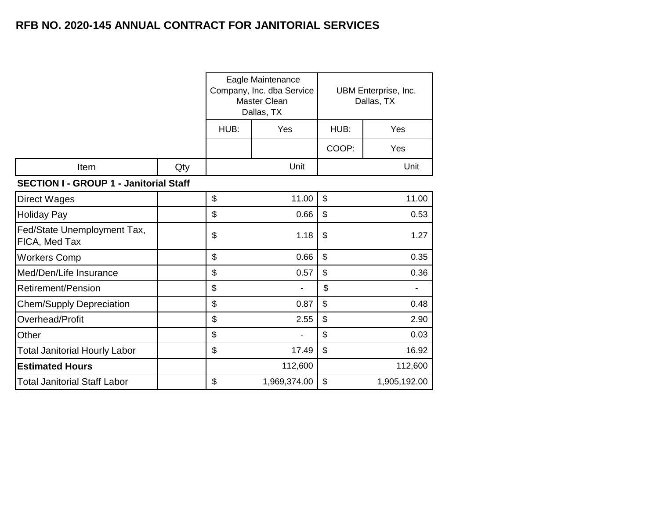|                                               |     |      | Eagle Maintenance<br>Company, Inc. dba Service<br>Master Clean<br>Dallas, TX |                | UBM Enterprise, Inc.<br>Dallas, TX |  |
|-----------------------------------------------|-----|------|------------------------------------------------------------------------------|----------------|------------------------------------|--|
|                                               |     | HUB: | Yes                                                                          | HUB:           | Yes                                |  |
|                                               |     |      |                                                                              | COOP:          | Yes                                |  |
| Item                                          | Qty |      | Unit                                                                         |                | Unit                               |  |
| <b>SECTION I - GROUP 1 - Janitorial Staff</b> |     |      |                                                                              |                |                                    |  |
| <b>Direct Wages</b>                           |     | \$   | 11.00                                                                        | \$             | 11.00                              |  |
| <b>Holiday Pay</b>                            |     | \$   | 0.66                                                                         | \$             | 0.53                               |  |
| Fed/State Unemployment Tax,<br>FICA, Med Tax  |     | \$   | 1.18                                                                         | \$             | 1.27                               |  |
| <b>Workers Comp</b>                           |     | \$   | 0.66                                                                         | \$             | 0.35                               |  |
| Med/Den/Life Insurance                        |     | \$   | 0.57                                                                         | \$             | 0.36                               |  |
| Retirement/Pension                            |     | \$   |                                                                              | \$             |                                    |  |
| <b>Chem/Supply Depreciation</b>               |     | \$   | 0.87                                                                         | $\mathfrak{S}$ | 0.48                               |  |
| Overhead/Profit                               |     | \$   | 2.55                                                                         | $\mathfrak{S}$ | 2.90                               |  |
| Other                                         |     | \$   |                                                                              | \$             | 0.03                               |  |
| <b>Total Janitorial Hourly Labor</b>          |     | \$   | 17.49                                                                        | $\mathfrak{S}$ | 16.92                              |  |
| <b>Estimated Hours</b>                        |     |      | 112,600                                                                      |                | 112,600                            |  |
| <b>Total Janitorial Staff Labor</b>           |     | \$   | 1,969,374.00                                                                 | \$             | 1,905,192.00                       |  |
|                                               |     |      |                                                                              |                |                                    |  |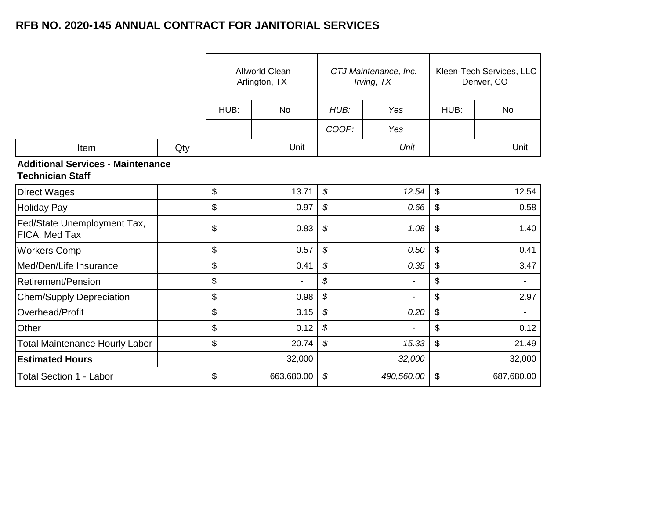|                                                                     |     |      | <b>Allworld Clean</b><br>Arlington, TX |       | CTJ Maintenance, Inc.<br>Irving, TX |                           | Kleen-Tech Services, LLC<br>Denver, CO |  |
|---------------------------------------------------------------------|-----|------|----------------------------------------|-------|-------------------------------------|---------------------------|----------------------------------------|--|
|                                                                     |     | HUB: | <b>No</b>                              | HUB:  | Yes                                 | HUB:                      | No                                     |  |
|                                                                     |     |      |                                        | COOP: | Yes                                 |                           |                                        |  |
| Item                                                                | Qty |      | Unit                                   |       | Unit                                |                           | Unit                                   |  |
| <b>Additional Services - Maintenance</b><br><b>Technician Staff</b> |     |      |                                        |       |                                     |                           |                                        |  |
| <b>Direct Wages</b>                                                 |     | \$   | 13.71                                  | \$    | 12.54                               | $\sqrt[6]{\frac{1}{2}}$   | 12.54                                  |  |
| <b>Holiday Pay</b>                                                  |     | \$   | 0.97                                   | \$    | 0.66                                | \$                        | 0.58                                   |  |
| Fed/State Unemployment Tax,<br>FICA, Med Tax                        |     | \$   | 0.83                                   | \$    | 1.08                                | \$                        | 1.40                                   |  |
| <b>Workers Comp</b>                                                 |     | \$   | 0.57                                   | \$    | 0.50                                | $\boldsymbol{\mathsf{S}}$ | 0.41                                   |  |
| Med/Den/Life Insurance                                              |     | \$   | 0.41                                   | \$    | 0.35                                | \$                        | 3.47                                   |  |
| <b>Retirement/Pension</b>                                           |     | \$   |                                        | \$    |                                     | \$                        |                                        |  |
| <b>Chem/Supply Depreciation</b>                                     |     | \$   | 0.98                                   | \$    | $\blacksquare$                      | \$                        | 2.97                                   |  |
| Overhead/Profit                                                     |     | \$   | 3.15                                   | \$    | 0.20                                | $\boldsymbol{\mathsf{S}}$ |                                        |  |
| Other                                                               |     | \$   | 0.12                                   | \$    |                                     | $\boldsymbol{\mathsf{S}}$ | 0.12                                   |  |
| <b>Total Maintenance Hourly Labor</b>                               |     | \$   | 20.74                                  | \$    | 15.33                               | $\boldsymbol{\mathsf{S}}$ | 21.49                                  |  |
| <b>Estimated Hours</b>                                              |     |      | 32,000                                 |       | 32,000                              |                           | 32,000                                 |  |
| <b>Total Section 1 - Labor</b>                                      |     | \$   | 663,680.00                             | \$    | 490,560.00                          | \$                        | 687,680.00                             |  |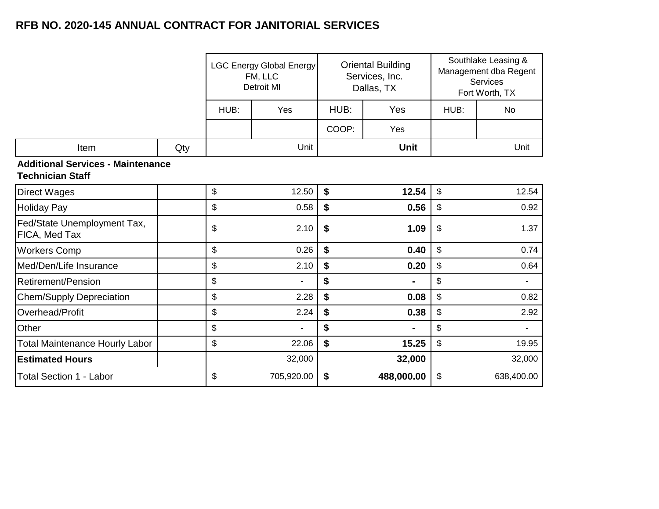|                                                                     |     |      | <b>LGC Energy Global Energy</b><br>FM, LLC<br><b>Detroit MI</b> |       | <b>Oriental Building</b><br>Services, Inc.<br>Dallas, TX | Southlake Leasing &<br>Management dba Regent<br><b>Services</b><br>Fort Worth, TX |                |
|---------------------------------------------------------------------|-----|------|-----------------------------------------------------------------|-------|----------------------------------------------------------|-----------------------------------------------------------------------------------|----------------|
|                                                                     |     | HUB: | Yes                                                             | HUB:  | Yes                                                      | HUB:                                                                              | No             |
|                                                                     |     |      |                                                                 | COOP: | Yes                                                      |                                                                                   |                |
| Item                                                                | Qty |      | Unit                                                            |       | <b>Unit</b>                                              |                                                                                   | Unit           |
| <b>Additional Services - Maintenance</b><br><b>Technician Staff</b> |     |      |                                                                 |       |                                                          |                                                                                   |                |
| <b>Direct Wages</b>                                                 |     | \$   | 12.50                                                           | \$    | 12.54                                                    | $\boldsymbol{\hat{\varphi}}$                                                      | 12.54          |
| <b>Holiday Pay</b>                                                  |     | \$   | 0.58                                                            | \$    | 0.56                                                     | \$                                                                                | 0.92           |
| Fed/State Unemployment Tax,<br>FICA, Med Tax                        |     | \$   | 2.10                                                            | \$    | 1.09                                                     | \$                                                                                | 1.37           |
| <b>Workers Comp</b>                                                 |     | \$   | 0.26                                                            | \$    | 0.40                                                     | $\boldsymbol{\mathsf{S}}$                                                         | 0.74           |
| Med/Den/Life Insurance                                              |     | \$   | 2.10                                                            | \$    | 0.20                                                     | \$                                                                                | 0.64           |
| Retirement/Pension                                                  |     | \$   |                                                                 | \$    |                                                          | \$                                                                                | $\blacksquare$ |
| <b>Chem/Supply Depreciation</b>                                     |     | \$   | 2.28                                                            | \$    | 0.08                                                     | \$                                                                                | 0.82           |
| Overhead/Profit                                                     |     | \$   | 2.24                                                            | \$    | 0.38                                                     | $\boldsymbol{\$}$                                                                 | 2.92           |
| Other                                                               |     | \$   |                                                                 | \$    |                                                          | \$                                                                                | $\blacksquare$ |
| <b>Total Maintenance Hourly Labor</b>                               |     | \$   | 22.06                                                           | \$    | 15.25                                                    | $\mathbb{S}$                                                                      | 19.95          |
| <b>Estimated Hours</b>                                              |     |      | 32,000                                                          |       | 32,000                                                   |                                                                                   | 32,000         |
| <b>Total Section 1 - Labor</b>                                      |     | \$   | 705,920.00                                                      | \$    | 488,000.00                                               | \$                                                                                | 638,400.00     |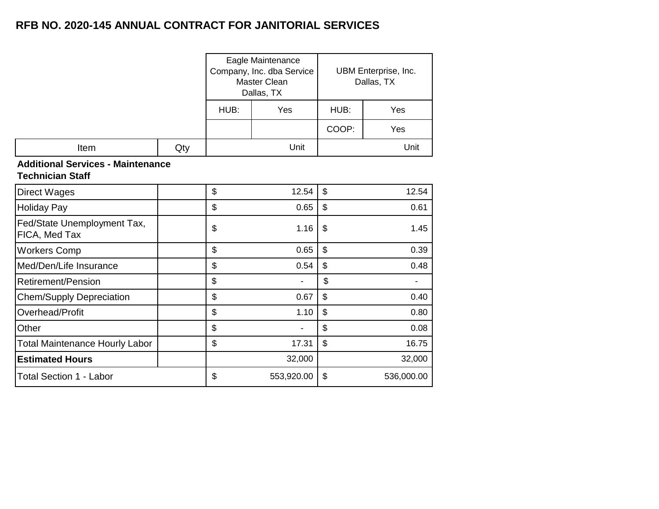|                                                                     |     | Eagle Maintenance<br>Company, Inc. dba Service<br>Master Clean<br>Dallas, TX | UBM Enterprise, Inc.<br>Dallas, TX |                           |            |  |  |
|---------------------------------------------------------------------|-----|------------------------------------------------------------------------------|------------------------------------|---------------------------|------------|--|--|
|                                                                     |     | HUB:                                                                         | Yes                                | HUB:                      | Yes        |  |  |
|                                                                     |     |                                                                              |                                    | COOP:                     | Yes        |  |  |
| Item                                                                | Qty |                                                                              | Unit                               |                           | Unit       |  |  |
| <b>Additional Services - Maintenance</b><br><b>Technician Staff</b> |     |                                                                              |                                    |                           |            |  |  |
| <b>Direct Wages</b>                                                 |     | \$                                                                           | 12.54                              | $\mathbb{S}$              | 12.54      |  |  |
| <b>Holiday Pay</b>                                                  |     | \$                                                                           | 0.65                               | $\boldsymbol{\mathsf{S}}$ | 0.61       |  |  |
| Fed/State Unemployment Tax,<br>FICA, Med Tax                        |     | \$                                                                           | 1.16                               | $\frac{1}{2}$             | 1.45       |  |  |
| <b>Workers Comp</b>                                                 |     | \$                                                                           | 0.65                               | $\boldsymbol{\mathsf{S}}$ | 0.39       |  |  |
| Med/Den/Life Insurance                                              |     | \$                                                                           | 0.54                               | $\boldsymbol{\mathsf{S}}$ | 0.48       |  |  |
| <b>Retirement/Pension</b>                                           |     | \$                                                                           |                                    | \$                        |            |  |  |
| <b>Chem/Supply Depreciation</b>                                     |     | \$                                                                           | 0.67                               | $\mathfrak{S}$            | 0.40       |  |  |
| Overhead/Profit                                                     |     | \$                                                                           | 1.10                               | $\boldsymbol{\mathsf{S}}$ | 0.80       |  |  |
| Other                                                               |     | \$                                                                           |                                    | $\boldsymbol{\mathsf{S}}$ | 0.08       |  |  |
| <b>Total Maintenance Hourly Labor</b>                               |     | \$                                                                           | 17.31                              | $\mathbb{S}$              | 16.75      |  |  |
| <b>Estimated Hours</b>                                              |     |                                                                              | 32,000                             | 32,000                    |            |  |  |
| <b>Total Section 1 - Labor</b>                                      |     | \$                                                                           | 553,920.00                         | \$                        | 536,000.00 |  |  |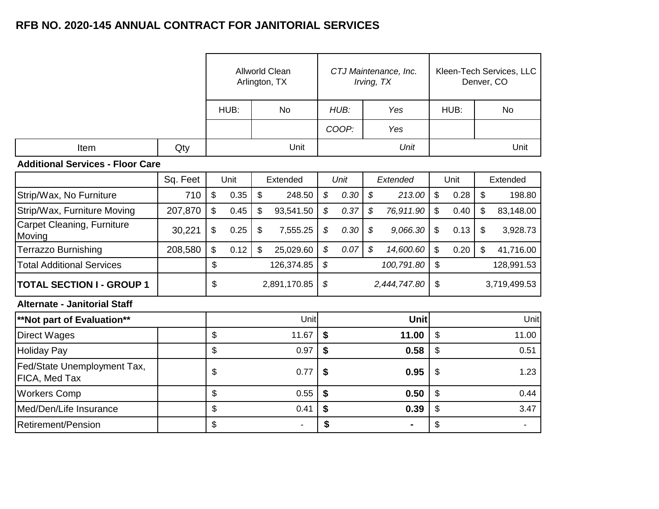|                                              |          |                         |      |                           | <b>Allworld Clean</b><br>Arlington, TX | CTJ Maintenance, Inc.<br>Irving, TX |      |               |                |                           |      |    | Kleen-Tech Services, LLC<br>Denver, CO |
|----------------------------------------------|----------|-------------------------|------|---------------------------|----------------------------------------|-------------------------------------|------|---------------|----------------|---------------------------|------|----|----------------------------------------|
|                                              |          |                         | HUB: |                           | <b>No</b>                              | HUB:                                |      | Yes           |                | HUB:                      |      |    | <b>No</b>                              |
|                                              |          |                         |      |                           |                                        | COOP:                               |      | Yes           |                |                           |      |    |                                        |
| Item                                         | Qty      |                         |      |                           | Unit                                   |                                     |      |               | Unit           |                           |      |    | Unit                                   |
| <b>Additional Services - Floor Care</b>      |          |                         |      |                           |                                        |                                     |      |               |                |                           |      |    |                                        |
|                                              | Sq. Feet |                         | Unit |                           | Extended                               |                                     | Unit |               | Extended       |                           | Unit |    | Extended                               |
| Strip/Wax, No Furniture                      | 710      | $\sqrt[6]{\frac{1}{2}}$ | 0.35 | $\boldsymbol{\mathsf{S}}$ | 248.50                                 | $\boldsymbol{\mathcal{S}}$          | 0.30 | \$            | 213.00         | $\boldsymbol{\mathsf{S}}$ | 0.28 | \$ | 198.80                                 |
| Strip/Wax, Furniture Moving                  | 207,870  | \$                      | 0.45 | \$                        | 93,541.50                              | $\boldsymbol{\mathcal{S}}$          | 0.37 | \$            | 76,911.90      | $\mathfrak{S}$            | 0.40 | \$ | 83,148.00                              |
| Carpet Cleaning, Furniture<br>Moving         | 30,221   | \$                      | 0.25 | \$                        | 7,555.25                               | \$                                  | 0.30 | \$            | 9,066.30       | $\boldsymbol{\mathsf{S}}$ | 0.13 | \$ | 3,928.73                               |
| <b>Terrazzo Burnishing</b>                   | 208,580  | \$                      | 0.12 | $\mathbb{S}$              | 25,029.60                              | \$                                  | 0.07 | $\mathcal{S}$ | 14,600.60      | \$                        | 0.20 | \$ | 41,716.00                              |
| <b>Total Additional Services</b>             |          | \$                      |      |                           | 126,374.85                             | $\boldsymbol{\mathcal{S}}$          |      |               | 100,791.80     | \$                        |      |    | 128,991.53                             |
| <b>TOTAL SECTION I - GROUP 1</b>             |          | \$                      |      |                           | 2,891,170.85                           | \$                                  |      |               | 2,444,747.80   | \$                        |      |    | 3,719,499.53                           |
| <b>Alternate - Janitorial Staff</b>          |          |                         |      |                           |                                        |                                     |      |               |                |                           |      |    |                                        |
| **Not part of Evaluation**                   |          |                         |      |                           | Unit                                   |                                     |      |               | Unit           |                           |      |    | Unitl                                  |
| Direct Wages                                 |          | \$                      |      |                           | 11.67                                  | \$                                  |      |               | 11.00          | \$                        |      |    | 11.00                                  |
| <b>Holiday Pay</b>                           |          | \$                      |      |                           | 0.97                                   | \$                                  |      |               | 0.58           | \$                        |      |    | 0.51                                   |
| Fed/State Unemployment Tax,<br>FICA, Med Tax |          | \$                      |      | 0.77                      | \$                                     | 0.95                                |      |               | \$             |                           | 1.23 |    |                                        |
| <b>Workers Comp</b>                          |          | \$                      |      |                           | 0.55                                   | $\boldsymbol{\mathsf{s}}$           |      |               | 0.50           | \$                        |      |    | 0.44                                   |
| Med/Den/Life Insurance                       |          | \$                      |      |                           | 0.41                                   | \$                                  |      |               | 0.39           | \$                        |      |    | 3.47                                   |
| <b>Retirement/Pension</b>                    |          | \$                      |      |                           | $\blacksquare$                         | \$                                  |      |               | $\blacksquare$ | \$                        |      |    | $\blacksquare$                         |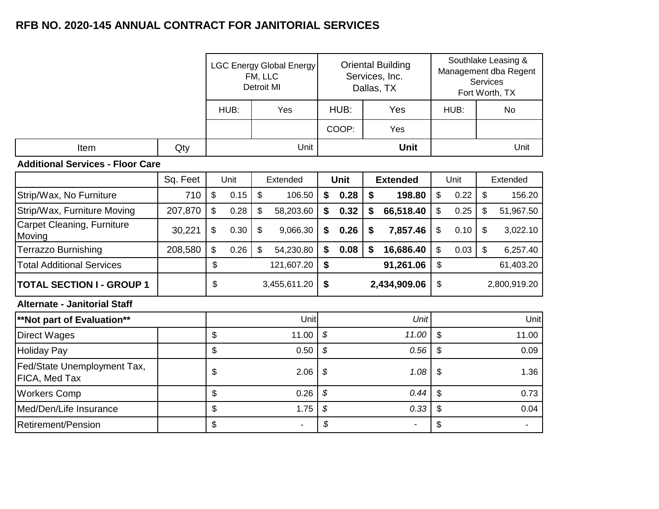|                                              |          |              |      | FM, LLC<br><b>Detroit MI</b> | <b>LGC Energy Global Energy</b> | <b>Oriental Building</b><br>Services, Inc.<br>Dallas, TX |              |      |                 |                    |      | Southlake Leasing &<br>Management dba Regent<br>Services<br>Fort Worth, TX |           |
|----------------------------------------------|----------|--------------|------|------------------------------|---------------------------------|----------------------------------------------------------|--------------|------|-----------------|--------------------|------|----------------------------------------------------------------------------|-----------|
|                                              |          |              | HUB: |                              | Yes                             |                                                          | HUB:         |      | Yes             |                    | HUB: |                                                                            | <b>No</b> |
|                                              |          |              |      |                              |                                 |                                                          | COOP:        |      | Yes             |                    |      |                                                                            |           |
| Item                                         | Qty      |              |      |                              | Unit                            |                                                          |              |      | <b>Unit</b>     |                    |      |                                                                            | Unit      |
| <b>Additional Services - Floor Care</b>      |          |              |      |                              |                                 |                                                          |              |      |                 |                    |      |                                                                            |           |
|                                              | Sq. Feet |              | Unit |                              | Extended                        |                                                          | Unit         |      | <b>Extended</b> |                    | Unit |                                                                            | Extended  |
| Strip/Wax, No Furniture                      | 710      | \$           | 0.15 | $\boldsymbol{\mathsf{S}}$    | 106.50                          | \$                                                       | 0.28         | \$   | 198.80          | $\boldsymbol{\$}$  | 0.22 | \$                                                                         | 156.20    |
| Strip/Wax, Furniture Moving                  | 207,870  | $\mathbb{S}$ | 0.28 | \$                           | 58,203.60                       | \$                                                       | 0.32         | \$   | 66,518.40       | \$                 | 0.25 | \$                                                                         | 51,967.50 |
| Carpet Cleaning, Furniture<br>Moving         | 30,221   | \$           | 0.30 | $\boldsymbol{\mathsf{\$}}$   | 9,066.30                        | \$                                                       | 0.26         | \$   | 7,857.46        | \$                 | 0.10 | \$                                                                         | 3,022.10  |
| <b>Terrazzo Burnishing</b>                   | 208,580  | \$           | 0.26 | $\mathfrak{s}$               | 54,230.80                       | \$                                                       | 0.08         | \$   | 16,686.40       | \$                 | 0.03 | \$                                                                         | 6,257.40  |
| <b>Total Additional Services</b>             |          | \$           |      |                              | 121,607.20                      | \$                                                       |              |      | 91,261.06       | \$                 |      |                                                                            | 61,403.20 |
| <b>TOTAL SECTION I - GROUP 1</b>             |          | \$           |      |                              | 3,455,611.20                    | \$                                                       | 2,434,909.06 |      |                 | \$<br>2,800,919.20 |      |                                                                            |           |
| <b>Alternate - Janitorial Staff</b>          |          |              |      |                              |                                 |                                                          |              |      |                 |                    |      |                                                                            |           |
| **Not part of Evaluation**                   |          |              |      |                              | Unit                            |                                                          |              |      | Unit            |                    |      |                                                                            | Unit      |
| <b>Direct Wages</b>                          |          | \$           |      |                              | 11.00                           | $\mathcal{S}$                                            |              |      | 11.00           | \$                 |      |                                                                            | 11.00     |
| <b>Holiday Pay</b>                           |          | \$           |      |                              | 0.50                            | \$                                                       |              |      | 0.56            | \$                 |      |                                                                            | 0.09      |
| Fed/State Unemployment Tax,<br>FICA, Med Tax |          | \$           |      | 2.06                         |                                 | \$                                                       |              |      | 1.08            | \$                 |      |                                                                            | 1.36      |
| <b>Workers Comp</b>                          |          | \$           |      | 0.26                         | \$                              |                                                          | 0.44         | \$   |                 | 0.73               |      |                                                                            |           |
| Med/Den/Life Insurance                       |          | \$<br>1.75   |      | \$<br>0.33                   |                                 | \$                                                       |              | 0.04 |                 |                    |      |                                                                            |           |
| <b>Retirement/Pension</b>                    |          | \$           |      |                              | $\blacksquare$                  | \$                                                       |              |      | $\blacksquare$  | \$                 |      |                                                                            |           |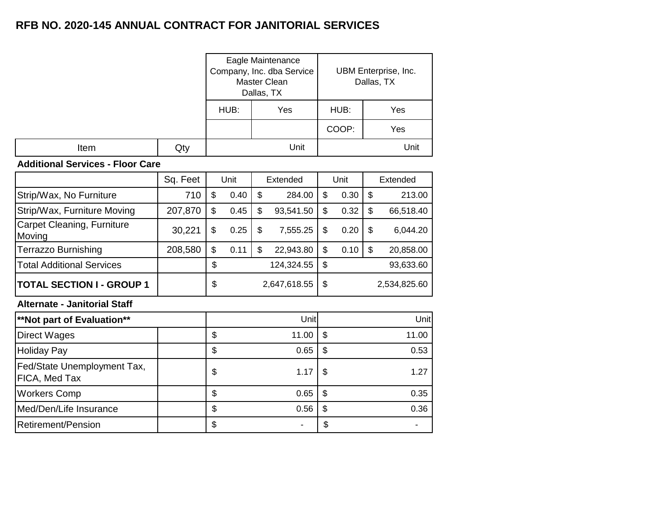|      |     |              | Eagle Maintenance<br>Company, Inc. dba Service<br>Master Clean<br>Dallas, TX |      | UBM Enterprise, Inc.<br>Dallas, TX |  |  |  |
|------|-----|--------------|------------------------------------------------------------------------------|------|------------------------------------|--|--|--|
|      |     | HUB:         | Yes                                                                          | HUB: | Yes                                |  |  |  |
|      |     |              | Yes                                                                          |      |                                    |  |  |  |
| Item | Qty | Unit<br>Unit |                                                                              |      |                                    |  |  |  |

#### **Additional Services - Floor Care**

|                                              | Sq. Feet | Unit       | Extended        |                | Unit         |    | Extended  |
|----------------------------------------------|----------|------------|-----------------|----------------|--------------|----|-----------|
| Strip/Wax, No Furniture                      | 710      | \$<br>0.40 | \$<br>284.00    | \$             | 0.30         | \$ | 213.00    |
| Strip/Wax, Furniture Moving                  | 207,870  | \$<br>0.45 | \$<br>93,541.50 | \$             | 0.32         | \$ | 66,518.40 |
| Carpet Cleaning, Furniture<br>Moving         | 30,221   | \$<br>0.25 | \$<br>7,555.25  | \$             | 0.20         | \$ | 6,044.20  |
| Terrazzo Burnishing                          | 208,580  | \$<br>0.11 | \$<br>22,943.80 | \$             | 0.10         | \$ | 20,858.00 |
| <b>Total Additional Services</b>             |          | \$         | 124,324.55      | \$             |              |    | 93,633.60 |
| <b>TOTAL SECTION I - GROUP 1</b>             |          | \$         | 2,647,618.55    | \$             | 2,534,825.60 |    |           |
| <b>Alternate - Janitorial Staff</b>          |          |            |                 |                |              |    |           |
| <b>**Not part of Evaluation**</b>            |          |            | Unit            |                |              |    | Unit      |
| <b>Direct Wages</b>                          |          | \$         | 11.00           | \$             |              |    | 11.00     |
| <b>Holiday Pay</b>                           |          | \$         | 0.65            | \$             |              |    | 0.53      |
| Fed/State Unemployment Tax,<br>FICA, Med Tax |          | \$         | 1.17            | \$             |              |    | 1.27      |
| <b>Workers Comp</b>                          |          | \$         | 0.65            | $\mathfrak{S}$ |              |    | 0.35      |
| Med/Den/Life Insurance                       |          | \$         | 0.56            | $\mathfrak{S}$ |              |    | 0.36      |
| <b>Retirement/Pension</b>                    |          | \$         |                 | \$             |              |    |           |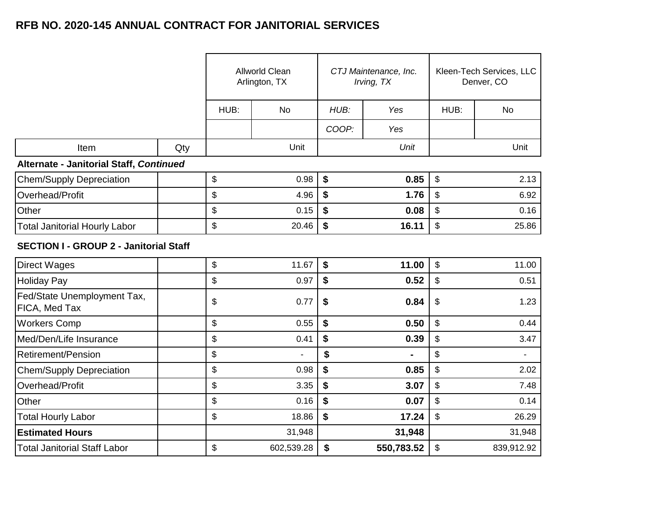|                                               |     |      | Allworld Clean<br>Arlington, TX |       | CTJ Maintenance, Inc.<br>Irving, TX | Kleen-Tech Services, LLC<br>Denver, CO |                |  |
|-----------------------------------------------|-----|------|---------------------------------|-------|-------------------------------------|----------------------------------------|----------------|--|
|                                               |     | HUB: | <b>No</b>                       | HUB:  | Yes                                 | HUB:                                   | No             |  |
|                                               |     |      |                                 | COOP: | Yes                                 |                                        |                |  |
| Item                                          | Qty |      | Unit                            |       | Unit                                |                                        | Unit           |  |
| Alternate - Janitorial Staff, Continued       |     |      |                                 |       |                                     |                                        |                |  |
| <b>Chem/Supply Depreciation</b>               |     | \$   | 0.98                            | \$    | 0.85                                | \$                                     | 2.13           |  |
| Overhead/Profit                               |     | \$   | 4.96                            | \$    | 1.76                                | \$                                     | 6.92           |  |
| Other                                         |     | \$   | 0.15                            | \$    | 0.08                                | \$                                     | 0.16           |  |
| <b>Total Janitorial Hourly Labor</b>          |     | \$   | 20.46                           | \$    | 16.11                               | \$<br>25.86                            |                |  |
| <b>SECTION I - GROUP 2 - Janitorial Staff</b> |     |      |                                 |       |                                     |                                        |                |  |
| <b>Direct Wages</b>                           |     | \$   | 11.67                           | \$    | 11.00                               | \$                                     | 11.00          |  |
| <b>Holiday Pay</b>                            |     | \$   | 0.97                            | \$    | 0.52                                | \$                                     | 0.51           |  |
| Fed/State Unemployment Tax,<br>FICA, Med Tax  |     | \$   | 0.77                            | \$    | 0.84                                | \$                                     | 1.23           |  |
| <b>Workers Comp</b>                           |     | \$   | 0.55                            | \$    | 0.50                                | \$                                     | 0.44           |  |
| Med/Den/Life Insurance                        |     | \$   | 0.41                            | \$    | 0.39                                | \$                                     | 3.47           |  |
| <b>Retirement/Pension</b>                     |     | \$   | $\blacksquare$                  | \$    |                                     | \$                                     | $\blacksquare$ |  |
| <b>Chem/Supply Depreciation</b>               |     | \$   | 0.98                            | \$    | 0.85                                | \$                                     | 2.02           |  |
| Overhead/Profit                               |     | \$   | 3.35                            | \$    | 3.07                                | \$                                     | 7.48           |  |
| Other                                         |     | \$   | 0.16                            | \$    | 0.07                                | \$                                     | 0.14           |  |
| <b>Total Hourly Labor</b>                     |     | \$   | 18.86                           | \$    | 17.24                               | \$                                     | 26.29          |  |
| <b>Estimated Hours</b>                        |     |      | 31,948                          |       | 31,948                              |                                        | 31,948         |  |
| <b>Total Janitorial Staff Labor</b>           |     | \$   | 602,539.28                      | \$    | 550,783.52                          | \$                                     | 839,912.92     |  |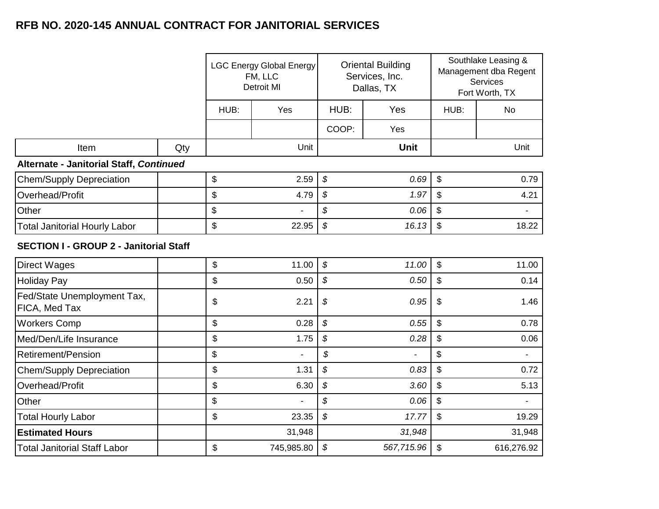|                                               |     |      | <b>LGC Energy Global Energy</b><br>FM, LLC<br><b>Detroit MI</b> |                            | <b>Oriental Building</b><br>Services, Inc.<br>Dallas, TX | Southlake Leasing &<br>Management dba Regent<br>Services<br>Fort Worth, TX |              |
|-----------------------------------------------|-----|------|-----------------------------------------------------------------|----------------------------|----------------------------------------------------------|----------------------------------------------------------------------------|--------------|
|                                               |     | HUB: | Yes                                                             | HUB:                       | Yes                                                      | HUB:                                                                       | <b>No</b>    |
|                                               |     |      |                                                                 | COOP:                      | Yes                                                      |                                                                            |              |
| Item                                          | Qty |      | Unit                                                            |                            | <b>Unit</b>                                              |                                                                            | Unit         |
| Alternate - Janitorial Staff, Continued       |     |      |                                                                 |                            |                                                          |                                                                            |              |
| <b>Chem/Supply Depreciation</b>               |     | \$   | 2.59                                                            | \$                         | 0.69                                                     | \$                                                                         | 0.79         |
| Overhead/Profit                               |     | \$   | 4.79                                                            | \$                         | 1.97                                                     | \$                                                                         | 4.21         |
| Other                                         |     | \$   |                                                                 | \$                         | 0.06                                                     | \$                                                                         |              |
| <b>Total Janitorial Hourly Labor</b>          |     | \$   | 22.95                                                           | \$                         | 16.13                                                    | \$                                                                         | 18.22        |
| <b>SECTION I - GROUP 2 - Janitorial Staff</b> |     |      |                                                                 |                            |                                                          |                                                                            |              |
| <b>Direct Wages</b>                           |     | \$   | 11.00                                                           | $\boldsymbol{\mathcal{S}}$ | 11.00                                                    | $\boldsymbol{\mathsf{S}}$                                                  | 11.00        |
| <b>Holiday Pay</b>                            |     | \$   | 0.50                                                            | \$                         | 0.50                                                     | \$                                                                         | 0.14         |
| Fed/State Unemployment Tax,<br>FICA, Med Tax  |     | \$   | 2.21                                                            | \$                         | 0.95                                                     | \$                                                                         | 1.46         |
| <b>Workers Comp</b>                           |     | \$   | 0.28                                                            | \$                         | 0.55                                                     | \$                                                                         | 0.78         |
| Med/Den/Life Insurance                        |     | \$   | 1.75                                                            | \$                         | 0.28                                                     | \$                                                                         | 0.06         |
| <b>Retirement/Pension</b>                     |     | \$   | L.                                                              | \$                         | $\blacksquare$                                           | \$                                                                         | $\mathbf{r}$ |
| <b>Chem/Supply Depreciation</b>               |     | \$   | 1.31                                                            | \$                         | 0.83                                                     | \$                                                                         | 0.72         |
| Overhead/Profit                               |     | \$   | 6.30                                                            | \$                         | 3.60                                                     | \$                                                                         | 5.13         |
| Other                                         |     | \$   | ÷,                                                              | \$                         | 0.06                                                     | \$                                                                         | ÷.           |
| <b>Total Hourly Labor</b>                     |     | \$   | 23.35                                                           | \$                         | 17.77                                                    | \$                                                                         | 19.29        |
| <b>Estimated Hours</b>                        |     |      | 31,948                                                          |                            | 31,948                                                   |                                                                            | 31,948       |
| <b>Total Janitorial Staff Labor</b>           |     | \$   | 745,985.80                                                      | \$                         | 567,715.96                                               | \$                                                                         | 616,276.92   |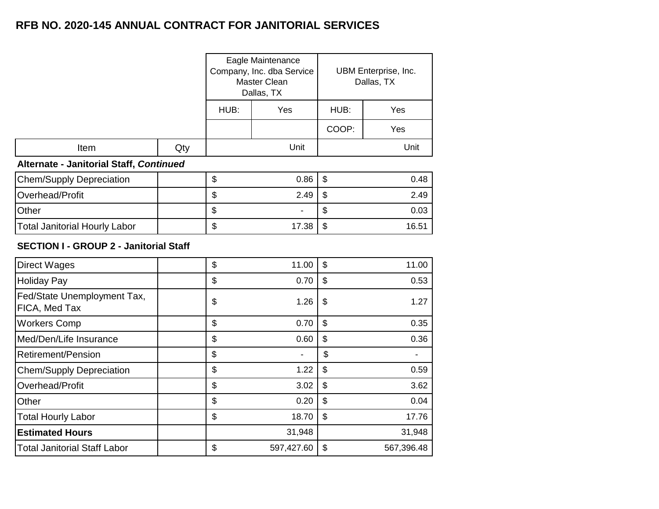|                                         |     |      | Eagle Maintenance<br>Company, Inc. dba Service<br>Master Clean<br>Dallas, TX |       | UBM Enterprise, Inc.<br>Dallas, TX |  |  |
|-----------------------------------------|-----|------|------------------------------------------------------------------------------|-------|------------------------------------|--|--|
|                                         |     | HUB: | Yes                                                                          | HUB:  | Yes                                |  |  |
|                                         |     |      |                                                                              | COOP: | Yes                                |  |  |
| Item                                    | Qty |      | Unit                                                                         |       | Unit                               |  |  |
| Alternate - Janitorial Staff, Continued |     |      |                                                                              |       |                                    |  |  |
| <b>Chem/Supply Depreciation</b>         |     | \$   | 0.86                                                                         | \$    | 0.48                               |  |  |
| Overhead/Profit                         |     | \$   | 2.49<br>\$                                                                   |       | 2.49                               |  |  |
| Other                                   |     | \$   |                                                                              | \$    | 0.03                               |  |  |
| <b>Total Janitorial Hourly Labor</b>    |     | \$   | 17.38                                                                        | \$    | 16.51                              |  |  |

#### **SECTION I - GROUP 2 - Janitorial Staff**

| <b>Direct Wages</b>                          | \$<br>11.00      | \$<br>11.00      |
|----------------------------------------------|------------------|------------------|
| <b>Holiday Pay</b>                           | \$<br>0.70       | \$<br>0.53       |
| Fed/State Unemployment Tax,<br>FICA, Med Tax | \$<br>1.26       | \$<br>1.27       |
| <b>Workers Comp</b>                          | \$<br>0.70       | \$<br>0.35       |
| Med/Den/Life Insurance                       | \$<br>0.60       | \$<br>0.36       |
| <b>Retirement/Pension</b>                    | \$               | \$               |
| <b>Chem/Supply Depreciation</b>              | \$<br>1.22       | \$<br>0.59       |
| Overhead/Profit                              | \$<br>3.02       | \$<br>3.62       |
| Other                                        | \$<br>0.20       | \$<br>0.04       |
| <b>Total Hourly Labor</b>                    | \$<br>18.70      | \$<br>17.76      |
| <b>Estimated Hours</b>                       | 31,948           | 31,948           |
| <b>Total Janitorial Staff Labor</b>          | \$<br>597,427.60 | \$<br>567,396.48 |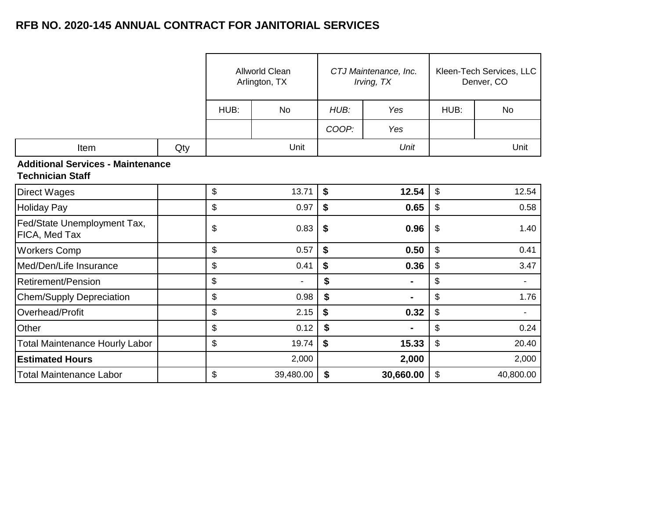|                                                                     |     |             | <b>Allworld Clean</b><br>Arlington, TX |             | CTJ Maintenance, Inc.<br>Irving, TX | Kleen-Tech Services, LLC<br>Denver, CO |           |  |  |
|---------------------------------------------------------------------|-----|-------------|----------------------------------------|-------------|-------------------------------------|----------------------------------------|-----------|--|--|
|                                                                     |     | HUB:        | <b>No</b>                              | HUB:        | Yes                                 | HUB:                                   | No        |  |  |
|                                                                     |     |             |                                        | COOP:       | Yes                                 |                                        |           |  |  |
| Item                                                                | Qty |             | Unit                                   |             | Unit                                |                                        | Unit      |  |  |
| <b>Additional Services - Maintenance</b><br><b>Technician Staff</b> |     |             |                                        |             |                                     |                                        |           |  |  |
| <b>Direct Wages</b>                                                 |     | \$          | 13.71                                  | \$          | 12.54                               | $\boldsymbol{\mathsf{S}}$              | 12.54     |  |  |
| <b>Holiday Pay</b>                                                  |     | \$          | 0.97                                   | \$          | 0.65                                | \$                                     | 0.58      |  |  |
| Fed/State Unemployment Tax,<br><b>FICA, Med Tax</b>                 |     | \$          | 0.83                                   | \$<br>0.96  |                                     | $\boldsymbol{\mathsf{S}}$              | 1.40      |  |  |
| <b>Workers Comp</b>                                                 |     | \$          | 0.57                                   | \$          | 0.50                                | \$                                     | 0.41      |  |  |
| Med/Den/Life Insurance                                              |     | \$          | 0.41                                   | \$          | 0.36                                | \$                                     | 3.47      |  |  |
| <b>Retirement/Pension</b>                                           |     | \$          |                                        | \$          | ۰                                   | \$                                     |           |  |  |
| <b>Chem/Supply Depreciation</b>                                     |     | \$          | 0.98                                   | \$          | ۰                                   | \$                                     | 1.76      |  |  |
| Overhead/Profit                                                     |     | \$          | 2.15                                   | \$          | 0.32                                | $\boldsymbol{\mathsf{S}}$              |           |  |  |
| Other                                                               |     | \$<br>0.12  |                                        | \$          | $\blacksquare$                      | \$                                     | 0.24      |  |  |
| <b>Total Maintenance Hourly Labor</b>                               |     | \$<br>19.74 |                                        | \$<br>15.33 |                                     | $\boldsymbol{\hat{\varphi}}$           | 20.40     |  |  |
| <b>Estimated Hours</b>                                              |     |             | 2,000                                  |             | 2,000                               |                                        | 2,000     |  |  |
| <b>Total Maintenance Labor</b>                                      |     | \$          | 39,480.00                              | \$          | 30,660.00                           | $\boldsymbol{\hat{\varphi}}$           | 40,800.00 |  |  |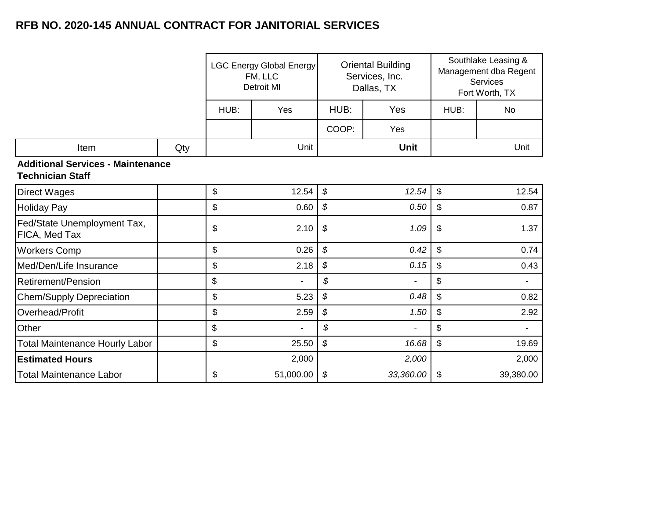|                                                                     |     | <b>LGC Energy Global Energy</b><br>FM, LLC<br><b>Detroit MI</b> |           |                            | <b>Oriental Building</b><br>Services, Inc.<br>Dallas, TX |                            | Southlake Leasing &<br>Management dba Regent<br>Services<br>Fort Worth, TX |
|---------------------------------------------------------------------|-----|-----------------------------------------------------------------|-----------|----------------------------|----------------------------------------------------------|----------------------------|----------------------------------------------------------------------------|
|                                                                     |     | HUB:                                                            | Yes       | HUB:                       | Yes                                                      | HUB:                       | No                                                                         |
|                                                                     |     |                                                                 |           | COOP:                      | Yes                                                      |                            |                                                                            |
| Item                                                                | Qty |                                                                 | Unit      |                            | <b>Unit</b>                                              |                            | Unit                                                                       |
| <b>Additional Services - Maintenance</b><br><b>Technician Staff</b> |     |                                                                 |           |                            |                                                          |                            |                                                                            |
| <b>Direct Wages</b>                                                 |     | \$                                                              | 12.54     | \$                         | 12.54                                                    | $\mathfrak{S}$             | 12.54                                                                      |
| <b>Holiday Pay</b>                                                  |     | \$                                                              | 0.60      | \$                         | 0.50                                                     | $\boldsymbol{\mathsf{S}}$  | 0.87                                                                       |
| Fed/State Unemployment Tax,<br>FICA, Med Tax                        |     | \$                                                              | 2.10      | \$                         | 1.09                                                     | $\boldsymbol{\mathsf{\$}}$ | 1.37                                                                       |
| <b>Workers Comp</b>                                                 |     | \$                                                              | 0.26      | \$                         | 0.42                                                     | \$                         | 0.74                                                                       |
| Med/Den/Life Insurance                                              |     | \$                                                              | 2.18      | \$                         | 0.15                                                     | $\sqrt[6]{\frac{1}{2}}$    | 0.43                                                                       |
| Retirement/Pension                                                  |     | \$                                                              |           | \$                         |                                                          | \$                         | $\blacksquare$                                                             |
| <b>Chem/Supply Depreciation</b>                                     |     | \$                                                              | 5.23      | $\boldsymbol{\mathcal{S}}$ | 0.48                                                     | \$                         | 0.82                                                                       |
| Overhead/Profit                                                     |     | \$                                                              | 2.59      | \$                         | 1.50                                                     | \$                         | 2.92                                                                       |
| Other                                                               |     | \$                                                              |           | \$                         |                                                          | \$                         | $\blacksquare$                                                             |
| <b>Total Maintenance Hourly Labor</b>                               |     | \$                                                              | 25.50     | \$                         | 16.68                                                    | \$                         | 19.69                                                                      |
| <b>Estimated Hours</b>                                              |     |                                                                 | 2,000     |                            | 2,000                                                    |                            | 2,000                                                                      |
| <b>Total Maintenance Labor</b>                                      |     | \$                                                              | 51,000.00 | \$                         | 33,360.00                                                | \$                         | 39,380.00                                                                  |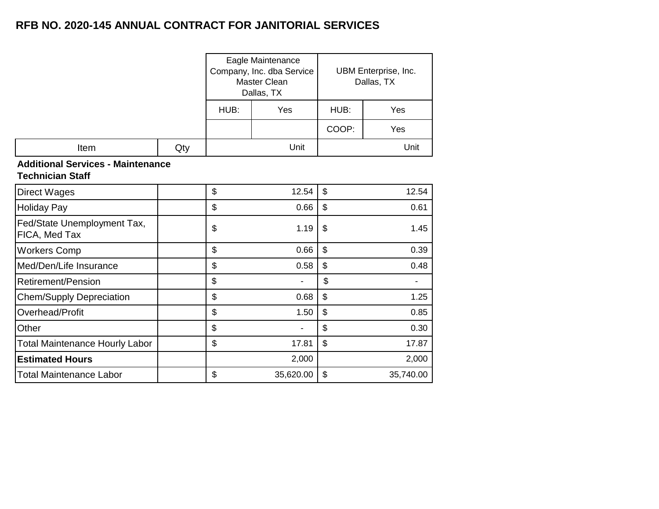|      |     |      | Eagle Maintenance<br>Company, Inc. dba Service<br>Master Clean<br>Dallas, TX |       | UBM Enterprise, Inc.<br>Dallas, TX |
|------|-----|------|------------------------------------------------------------------------------|-------|------------------------------------|
|      |     | HUB: | Yes                                                                          | HUB:  | Yes                                |
|      |     |      |                                                                              | COOP: | Yes                                |
| Item | Qty |      | Unit                                                                         |       | Unit                               |

#### **Additional Services - Maintenance Technician Staff**

| <b>Direct Wages</b>                          | \$ | 12.54     | \$<br>12.54     |
|----------------------------------------------|----|-----------|-----------------|
| <b>Holiday Pay</b>                           | \$ | 0.66      | \$<br>0.61      |
| Fed/State Unemployment Tax,<br>FICA, Med Tax | \$ | 1.19      | \$<br>1.45      |
| <b>Workers Comp</b>                          | \$ | 0.66      | \$<br>0.39      |
| Med/Den/Life Insurance                       | \$ | 0.58      | \$<br>0.48      |
| Retirement/Pension                           | \$ | ۰         | \$              |
| <b>Chem/Supply Depreciation</b>              | \$ | 0.68      | \$<br>1.25      |
| Overhead/Profit                              | \$ | 1.50      | \$<br>0.85      |
| Other                                        | \$ | ٠         | \$<br>0.30      |
| <b>Total Maintenance Hourly Labor</b>        | \$ | 17.81     | \$<br>17.87     |
| <b>Estimated Hours</b>                       |    | 2,000     | 2,000           |
| <b>Total Maintenance Labor</b>               | \$ | 35,620.00 | \$<br>35,740.00 |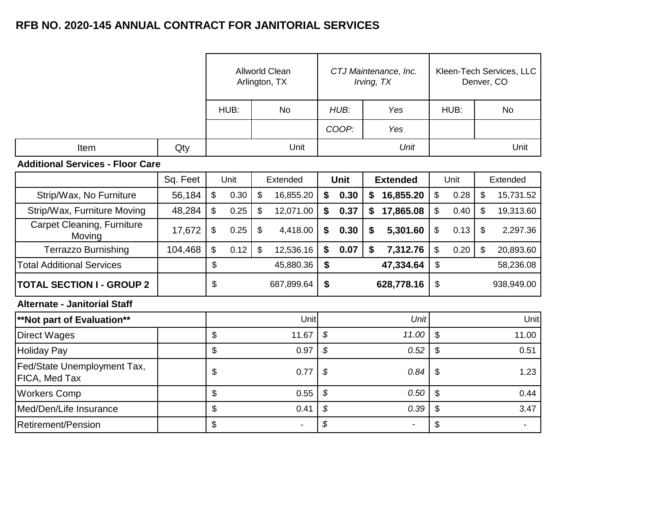|      |     |            | Allworld Clean<br>Arlington, TX |             | CTJ Maintenance, Inc.<br>Irving, TX |      | Kleen-Tech Services, LLC<br>Denver, CO |
|------|-----|------------|---------------------------------|-------------|-------------------------------------|------|----------------------------------------|
|      |     | HUB:<br>No |                                 | HUB:<br>Yes |                                     | HUB: | No                                     |
|      |     |            |                                 | COOP:       | Yes                                 |      |                                        |
| Item | Qty |            | Unit                            |             | Unit                                |      | Unit                                   |

#### **Additional Services - Floor Care**

|                                              | Sq. Feet |                | Unit | Extended        |    | <b>Unit</b> |    | <b>Extended</b> |                           | Unit |                            | Extended   |
|----------------------------------------------|----------|----------------|------|-----------------|----|-------------|----|-----------------|---------------------------|------|----------------------------|------------|
| Strip/Wax, No Furniture                      | 56,184   | $\mathfrak{L}$ | 0.30 | \$<br>16,855.20 | \$ | 0.30        | S. | 16,855.20       | \$                        | 0.28 | \$                         | 15,731.52  |
| Strip/Wax, Furniture Moving                  | 48,284   | \$             | 0.25 | \$<br>12,071.00 | \$ | 0.37        | \$ | 17,865.08       | \$                        | 0.40 | \$                         | 19,313.60  |
| Carpet Cleaning, Furniture<br>Moving         | 17,672   | \$             | 0.25 | \$<br>4,418.00  | \$ | 0.30        | S. | 5,301.60        | \$                        | 0.13 | \$                         | 2,297.36   |
| <b>Terrazzo Burnishing</b>                   | 104,468  | \$             | 0.12 | \$<br>12,536.16 | \$ | 0.07        | \$ | 7,312.76        | \$                        | 0.20 | $\boldsymbol{\mathsf{\$}}$ | 20,893.60  |
| <b>Total Additional Services</b>             |          | \$             |      | 45,880.36       | \$ |             |    | 47,334.64       | \$                        |      |                            | 58,236.08  |
| <b>TOTAL SECTION I - GROUP 2</b>             |          | \$             |      | 687,899.64      | \$ |             |    | 628,778.16      | \$                        |      |                            | 938,949.00 |
| <b>Alternate - Janitorial Staff</b>          |          |                |      |                 |    |             |    |                 |                           |      |                            |            |
| <b>**Not part of Evaluation**</b>            |          |                |      | Unit            |    |             |    | <b>Unit</b>     |                           |      |                            | Unit       |
| <b>Direct Wages</b>                          |          | \$             |      | 11.67           | \$ |             |    | 11.00           | \$                        |      |                            | 11.00      |
| <b>Holiday Pay</b>                           |          | \$             |      | 0.97            | \$ |             |    | 0.52            | \$                        |      |                            | 0.51       |
| Fed/State Unemployment Tax,<br>FICA, Med Tax |          | \$             |      | 0.77            | \$ |             |    | 0.84            | \$                        |      |                            | 1.23       |
| <b>Workers Comp</b>                          |          | \$             |      | 0.55            | \$ |             |    | 0.50            | \$                        |      |                            | 0.44       |
| Med/Den/Life Insurance                       |          | \$             |      | 0.41            | \$ |             |    | 0.39            | $\boldsymbol{\mathsf{S}}$ |      |                            | 3.47       |
| Retirement/Pension                           |          | \$             |      | ٠.              | \$ |             |    |                 | \$                        |      |                            |            |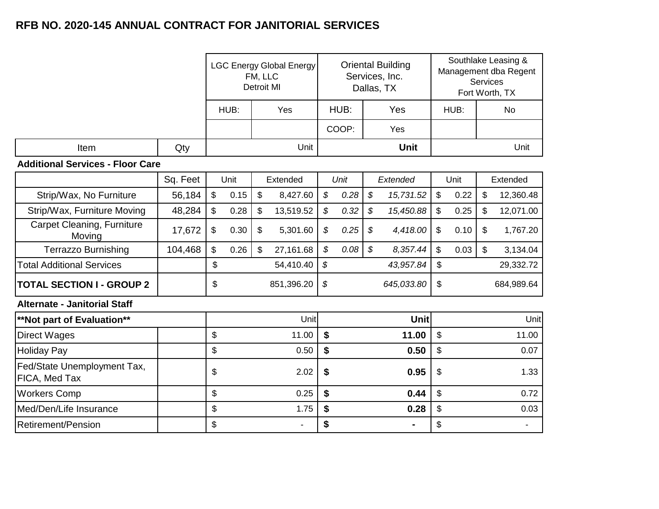|                                              |          | <b>LGC Energy Global Energy</b><br>FM, LLC<br><b>Detroit MI</b> |      |                            | <b>Oriental Building</b><br>Services, Inc.<br>Dallas, TX |                            |           |                            |             |               | Southlake Leasing &<br>Management dba Regent<br>Services<br>Fort Worth, TX |    |                |
|----------------------------------------------|----------|-----------------------------------------------------------------|------|----------------------------|----------------------------------------------------------|----------------------------|-----------|----------------------------|-------------|---------------|----------------------------------------------------------------------------|----|----------------|
|                                              |          | HUB:<br>HUB:<br>Yes<br>Yes                                      |      | HUB:                       |                                                          |                            | <b>No</b> |                            |             |               |                                                                            |    |                |
|                                              |          |                                                                 |      |                            |                                                          |                            | COOP:     |                            | Yes         |               |                                                                            |    |                |
| Item                                         | Qty      |                                                                 |      |                            | Unit                                                     |                            |           |                            | <b>Unit</b> |               |                                                                            |    | Unit           |
| <b>Additional Services - Floor Care</b>      |          |                                                                 |      |                            |                                                          |                            |           |                            |             |               |                                                                            |    |                |
|                                              | Sq. Feet |                                                                 | Unit |                            | Extended                                                 |                            | Unit      |                            | Extended    |               | Unit                                                                       |    | Extended       |
| Strip/Wax, No Furniture                      | 56,184   | $\sqrt[6]{\frac{1}{2}}$                                         | 0.15 | $\sqrt[6]{\frac{1}{2}}$    | 8,427.60                                                 | \$                         | 0.28      | $\boldsymbol{\mathcal{S}}$ | 15,731.52   | $\$\$         | 0.22                                                                       | \$ | 12,360.48      |
| Strip/Wax, Furniture Moving                  | 48,284   | $\mathsf{\$}$                                                   | 0.28 | \$                         | 13,519.52                                                | $\boldsymbol{\mathcal{S}}$ | 0.32      | \$                         | 15,450.88   | $\mathsf{\$}$ | 0.25                                                                       | \$ | 12,071.00      |
| <b>Carpet Cleaning, Furniture</b><br>Moving  | 17,672   | \$                                                              | 0.30 | $\boldsymbol{\mathsf{\$}}$ | 5,301.60                                                 | \$                         | 0.25      | $\boldsymbol{\mathcal{S}}$ | 4,418.00    | \$            | 0.10                                                                       | \$ | 1,767.20       |
| <b>Terrazzo Burnishing</b>                   | 104,468  | $\mathsf{\$}$                                                   | 0.26 | $\mathfrak{s}$             | 27,161.68                                                | $\boldsymbol{\mathcal{S}}$ | 0.08      | $\mathcal{L}$              | 8,357.44    | \$            | 0.03                                                                       | \$ | 3,134.04       |
| <b>Total Additional Services</b>             |          | \$                                                              |      |                            | 54,410.40                                                | \$                         |           |                            | 43,957.84   | \$            |                                                                            |    | 29,332.72      |
| <b>TOTAL SECTION I - GROUP 2</b>             |          | \$                                                              |      |                            | 851,396.20                                               | \$                         |           |                            | 645,033.80  | \$            |                                                                            |    | 684,989.64     |
| <b>Alternate - Janitorial Staff</b>          |          |                                                                 |      |                            |                                                          |                            |           |                            |             |               |                                                                            |    |                |
| **Not part of Evaluation**                   |          |                                                                 |      |                            | Unit                                                     |                            |           |                            | Unit        |               |                                                                            |    | Unit           |
| <b>Direct Wages</b>                          |          | \$                                                              |      |                            | 11.00                                                    | \$                         |           |                            | 11.00       | \$            |                                                                            |    | 11.00          |
| <b>Holiday Pay</b>                           |          | \$                                                              |      |                            | 0.50                                                     | \$                         |           |                            | 0.50        | \$            |                                                                            |    | 0.07           |
| Fed/State Unemployment Tax,<br>FICA, Med Tax |          | \$                                                              | 2.02 |                            | \$<br>0.95                                               |                            |           | \$                         |             | 1.33          |                                                                            |    |                |
| <b>Workers Comp</b>                          |          | \$                                                              | 0.25 |                            | \$<br>0.44                                               |                            | \$        |                            | 0.72        |               |                                                                            |    |                |
| Med/Den/Life Insurance                       |          | \$<br>1.75                                                      |      | \$<br>0.28                 |                                                          | \$                         |           | 0.03                       |             |               |                                                                            |    |                |
| <b>Retirement/Pension</b>                    |          | \$                                                              |      |                            | $\blacksquare$                                           | \$                         |           |                            | ٠           | \$            |                                                                            |    | $\blacksquare$ |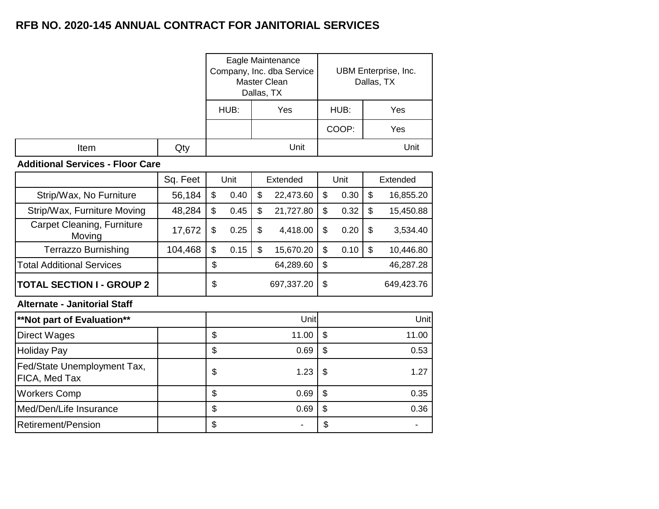|      |     |      | Eagle Maintenance<br>Company, Inc. dba Service<br>Master Clean<br>Dallas, TX |       | UBM Enterprise, Inc.<br>Dallas, TX |
|------|-----|------|------------------------------------------------------------------------------|-------|------------------------------------|
|      |     | HUB: | Yes                                                                          | HUB:  | Yes                                |
|      |     |      |                                                                              | COOP: | Yes                                |
| Item | Qty |      | Unit                                                                         |       | Unit                               |

#### **Additional Services - Floor Care**

|                                              | Sq. Feet |                  | Unit | Extended |            |      | Unit       |    | Extended  |
|----------------------------------------------|----------|------------------|------|----------|------------|------|------------|----|-----------|
| Strip/Wax, No Furniture                      | 56,184   | \$               | 0.40 | \$       | 22,473.60  | \$   | 0.30       | \$ | 16,855.20 |
| Strip/Wax, Furniture Moving                  | 48,284   | \$               | 0.45 | \$       | 21,727.80  | \$   | 0.32       | \$ | 15,450.88 |
| Carpet Cleaning, Furniture<br>Moving         | 17,672   | \$               | 0.25 | \$       | 4,418.00   | \$   | 0.20       | \$ | 3,534.40  |
| <b>Terrazzo Burnishing</b>                   | 104,468  | \$               | 0.15 | \$       | 15,670.20  | \$   | 0.10       | \$ | 10,446.80 |
| <b>Total Additional Services</b>             |          | \$               |      |          | 64,289.60  | \$   |            |    | 46,287.28 |
| <b>TOTAL SECTION I - GROUP 2</b>             |          | \$               |      |          | 697,337.20 | \$   | 649,423.76 |    |           |
| <b>Alternate - Janitorial Staff</b>          |          |                  |      |          |            |      |            |    |           |
| **Not part of Evaluation**                   |          |                  |      |          | Unit       |      |            |    | Unit      |
| Direct Wages                                 |          | \$               |      |          | 11.00      | \$   |            |    | 11.00     |
| <b>Holiday Pay</b>                           |          | \$               |      |          | 0.69       | \$   |            |    | 0.53      |
| Fed/State Unemployment Tax,<br>FICA, Med Tax |          | \$               |      |          | 1.23       | \$   |            |    | 1.27      |
| <b>Workers Comp</b>                          |          | \$<br>\$<br>0.69 |      |          |            | 0.35 |            |    |           |
| Med/Den/Life Insurance                       |          | \$               |      |          | 0.69       | \$   |            |    | 0.36      |
| Retirement/Pension                           |          | \$               |      |          |            | \$   |            |    |           |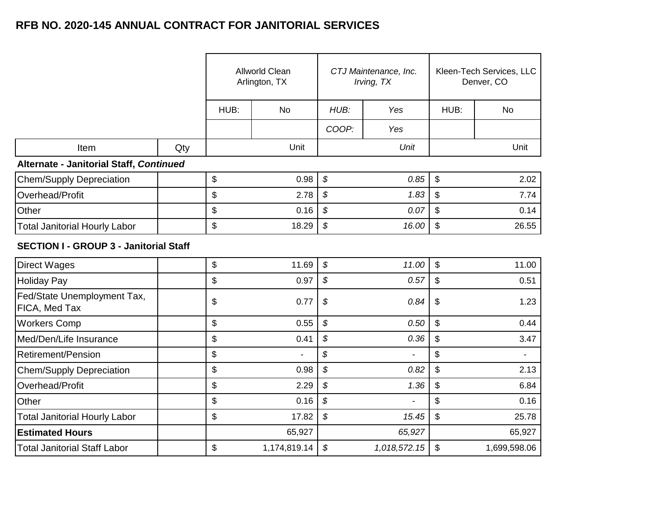|                                               |     |             | <b>Allworld Clean</b><br>Arlington, TX |             | CTJ Maintenance, Inc.<br>Irving, TX | Kleen-Tech Services, LLC<br>Denver, CO |                |  |
|-----------------------------------------------|-----|-------------|----------------------------------------|-------------|-------------------------------------|----------------------------------------|----------------|--|
|                                               |     | HUB:        | <b>No</b>                              | HUB:        | Yes                                 | HUB:                                   | <b>No</b>      |  |
|                                               |     |             |                                        | COOP:       | Yes                                 |                                        |                |  |
| Item                                          | Qty |             | Unit                                   |             | Unit                                |                                        | Unit           |  |
| Alternate - Janitorial Staff, Continued       |     |             |                                        |             |                                     |                                        |                |  |
| <b>Chem/Supply Depreciation</b>               |     | \$          | 0.98                                   | \$          | 0.85                                | \$                                     | 2.02           |  |
| Overhead/Profit                               |     | \$          | 2.78                                   | \$          | 1.83                                | \$                                     | 7.74           |  |
| Other                                         |     | \$          | 0.16                                   | \$          | 0.07                                | \$                                     | 0.14           |  |
| <b>Total Janitorial Hourly Labor</b>          |     | \$          | 18.29                                  | \$          | 16.00                               | \$<br>26.55                            |                |  |
| <b>SECTION I - GROUP 3 - Janitorial Staff</b> |     |             |                                        |             |                                     |                                        |                |  |
| <b>Direct Wages</b>                           |     | \$          | 11.69                                  | \$          | 11.00                               | $\mathbb{S}$                           | 11.00          |  |
| <b>Holiday Pay</b>                            |     | \$          | 0.97                                   | \$          | 0.57                                | \$                                     | 0.51           |  |
| Fed/State Unemployment Tax,<br>FICA, Med Tax  |     | \$          | 0.77                                   | \$          | 0.84                                | $\frac{1}{2}$                          | 1.23           |  |
| <b>Workers Comp</b>                           |     | \$          | 0.55                                   | \$          | 0.50                                | \$                                     | 0.44           |  |
| Med/Den/Life Insurance                        |     | \$          | 0.41                                   | \$          | 0.36                                | \$                                     | 3.47           |  |
| <b>Retirement/Pension</b>                     |     | \$          | $\overline{a}$                         | \$          | $\overline{a}$                      | $\mathfrak{S}$                         | $\blacksquare$ |  |
| Chem/Supply Depreciation                      |     | \$          | 0.98                                   | \$          | 0.82                                | \$                                     | 2.13           |  |
| Overhead/Profit                               |     | \$          | 2.29                                   | \$          | 1.36                                | \$                                     | 6.84           |  |
| Other                                         |     | \$          | 0.16                                   | \$          | $\ddot{\phantom{a}}$                | \$                                     | 0.16           |  |
| <b>Total Janitorial Hourly Labor</b>          |     | \$<br>17.82 |                                        | \$<br>15.45 |                                     | \$                                     |                |  |
| <b>Estimated Hours</b>                        |     |             | 65,927                                 |             | 65,927                              | 65,927                                 |                |  |
| <b>Total Janitorial Staff Labor</b>           |     | \$          | 1,174,819.14                           | \$          | 1,018,572.15                        | $\frac{1}{2}$                          | 1,699,598.06   |  |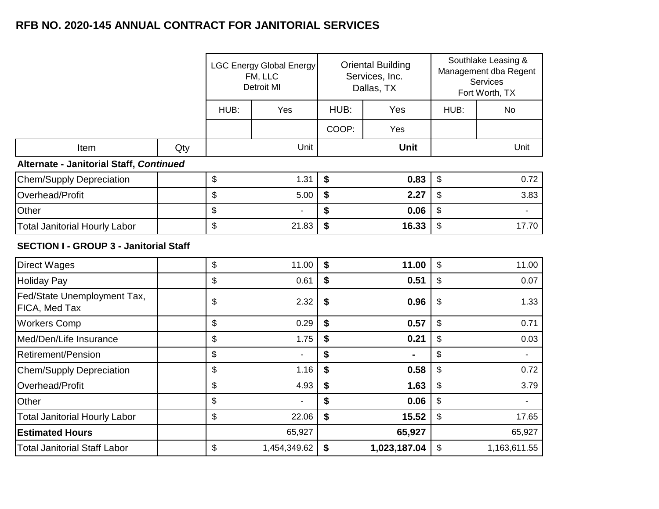|                                               |     |             | <b>LGC Energy Global Energy</b><br>FM, LLC<br><b>Detroit MI</b> |             | <b>Oriental Building</b><br>Services, Inc.<br>Dallas, TX | Southlake Leasing &<br>Management dba Regent<br><b>Services</b><br>Fort Worth, TX |                |
|-----------------------------------------------|-----|-------------|-----------------------------------------------------------------|-------------|----------------------------------------------------------|-----------------------------------------------------------------------------------|----------------|
|                                               |     | HUB:        | Yes                                                             | HUB:<br>Yes |                                                          | HUB:                                                                              | <b>No</b>      |
|                                               |     |             |                                                                 | COOP:       | Yes                                                      |                                                                                   |                |
| Item                                          | Qty |             | Unit                                                            |             | Unit                                                     |                                                                                   | Unit           |
| Alternate - Janitorial Staff, Continued       |     |             |                                                                 |             |                                                          |                                                                                   |                |
| <b>Chem/Supply Depreciation</b>               |     | \$          | 1.31                                                            | \$          | 0.83                                                     | \$                                                                                | 0.72           |
| Overhead/Profit                               |     | \$          | 5.00                                                            | \$          | 2.27                                                     | \$                                                                                | 3.83           |
| Other                                         |     | \$          |                                                                 | \$          | 0.06                                                     | \$                                                                                |                |
| <b>Total Janitorial Hourly Labor</b>          |     | \$          | 21.83                                                           | \$          | 16.33                                                    | \$                                                                                | 17.70          |
| <b>SECTION I - GROUP 3 - Janitorial Staff</b> |     |             |                                                                 |             |                                                          |                                                                                   |                |
| <b>Direct Wages</b>                           |     | \$          | 11.00                                                           | \$          | 11.00                                                    | \$                                                                                | 11.00          |
| <b>Holiday Pay</b>                            |     | \$          | 0.61                                                            | \$          | 0.51                                                     | \$                                                                                | 0.07           |
| Fed/State Unemployment Tax,<br>FICA, Med Tax  |     | \$          | 2.32                                                            | \$          | 0.96                                                     | \$                                                                                | 1.33           |
| <b>Workers Comp</b>                           |     | \$          | 0.29                                                            | \$          | 0.57                                                     | \$                                                                                | 0.71           |
| Med/Den/Life Insurance                        |     | \$          | 1.75                                                            | \$          | 0.21                                                     | \$                                                                                | 0.03           |
| Retirement/Pension                            |     | \$          | $\overline{a}$                                                  | \$          |                                                          | \$                                                                                | $\blacksquare$ |
| <b>Chem/Supply Depreciation</b>               |     | \$          | 1.16                                                            | \$          | 0.58                                                     | \$                                                                                | 0.72           |
| Overhead/Profit                               |     | \$          | 4.93                                                            | \$          | 1.63                                                     | \$                                                                                | 3.79           |
| Other                                         |     | \$          | $\blacksquare$                                                  | \$          | 0.06                                                     | \$                                                                                | $\blacksquare$ |
| <b>Total Janitorial Hourly Labor</b>          |     | \$<br>22.06 |                                                                 | \$<br>15.52 |                                                          | \$<br>17.65                                                                       |                |
| <b>Estimated Hours</b>                        |     | 65,927      |                                                                 | 65,927      |                                                          | 65,927                                                                            |                |
| <b>Total Janitorial Staff Labor</b>           |     | \$          | 1,454,349.62                                                    | \$          | 1,023,187.04                                             | \$                                                                                | 1,163,611.55   |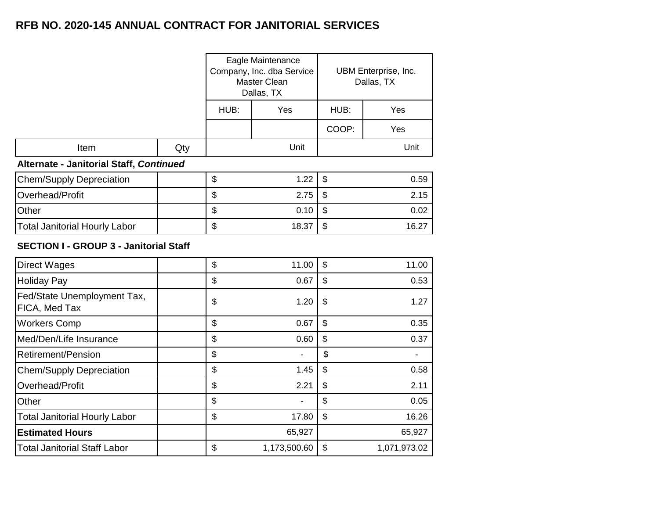|                                               |     |      | Eagle Maintenance<br>Company, Inc. dba Service<br>Master Clean<br>Dallas, TX | UBM Enterprise, Inc.<br>Dallas, TX |              |  |
|-----------------------------------------------|-----|------|------------------------------------------------------------------------------|------------------------------------|--------------|--|
|                                               |     | HUB: | Yes                                                                          | HUB:                               | Yes          |  |
|                                               |     |      |                                                                              | COOP:                              | Yes          |  |
| Item                                          | Qty |      | Unit                                                                         |                                    | Unit         |  |
| Alternate - Janitorial Staff, Continued       |     |      |                                                                              |                                    |              |  |
| <b>Chem/Supply Depreciation</b>               |     | \$   | 1.22                                                                         | \$                                 | 0.59         |  |
| Overhead/Profit                               |     | \$   | 2.75                                                                         | \$                                 | 2.15         |  |
| Other                                         |     | \$   | 0.10                                                                         | \$                                 | 0.02         |  |
| <b>Total Janitorial Hourly Labor</b>          |     | \$   | 18.37                                                                        | \$                                 | 16.27        |  |
| <b>SECTION I - GROUP 3 - Janitorial Staff</b> |     |      |                                                                              |                                    |              |  |
| <b>Direct Wages</b>                           |     | \$   | 11.00                                                                        | \$                                 | 11.00        |  |
| <b>Holiday Pay</b>                            |     | \$   | 0.67                                                                         | \$                                 | 0.53         |  |
| Fed/State Unemployment Tax,<br>FICA, Med Tax  |     | \$   | 1.20                                                                         | \$                                 | 1.27         |  |
| <b>Workers Comp</b>                           |     | \$   | 0.67                                                                         | \$                                 | 0.35         |  |
| Med/Den/Life Insurance                        |     | \$   | 0.60                                                                         | \$                                 | 0.37         |  |
| <b>Retirement/Pension</b>                     |     | \$   |                                                                              | \$                                 |              |  |
| <b>Chem/Supply Depreciation</b>               |     | \$   | 1.45                                                                         | \$                                 | 0.58         |  |
| Overhead/Profit                               |     | \$   | 2.21                                                                         | \$                                 | 2.11         |  |
| Other                                         |     | \$   |                                                                              | \$                                 | 0.05         |  |
| <b>Total Janitorial Hourly Labor</b>          |     | \$   | 17.80                                                                        | \$                                 | 16.26        |  |
| <b>Estimated Hours</b>                        |     |      | 65,927                                                                       |                                    | 65,927       |  |
| <b>Total Janitorial Staff Labor</b>           |     | \$   | 1,173,500.60                                                                 | $\boldsymbol{\mathsf{S}}$          | 1,071,973.02 |  |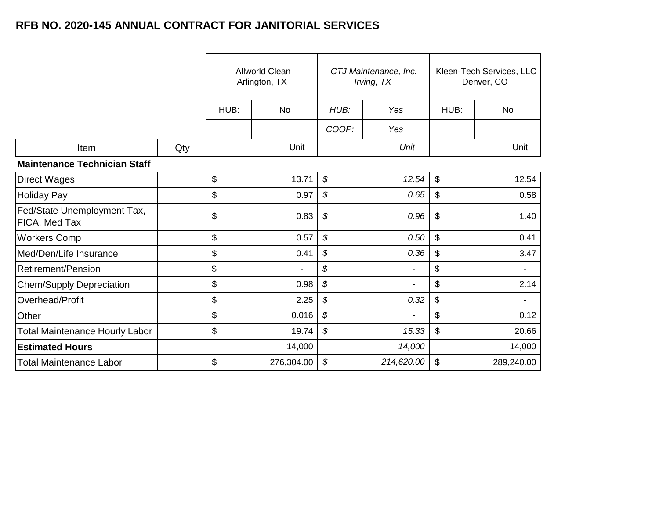|                                              |     | <b>Allworld Clean</b><br>Arlington, TX |                |             | CTJ Maintenance, Inc.<br>Irving, TX | Kleen-Tech Services, LLC<br>Denver, CO |            |
|----------------------------------------------|-----|----------------------------------------|----------------|-------------|-------------------------------------|----------------------------------------|------------|
|                                              |     | HUB:                                   | <b>No</b>      |             | HUB:<br>Yes                         |                                        | No         |
|                                              |     |                                        |                | COOP:       | Yes                                 |                                        |            |
| Item                                         | Qty |                                        | Unit           |             | Unit                                |                                        | Unit       |
| <b>Maintenance Technician Staff</b>          |     |                                        |                |             |                                     |                                        |            |
| <b>Direct Wages</b>                          |     | \$                                     | 13.71          | \$          | 12.54                               | $\boldsymbol{\mathsf{S}}$              | 12.54      |
| <b>Holiday Pay</b>                           |     | \$<br>0.97                             |                | \$          | 0.65                                | \$                                     | 0.58       |
| Fed/State Unemployment Tax,<br>FICA, Med Tax |     | \$                                     | 0.83           | \$<br>0.96  |                                     | \$                                     | 1.40       |
| <b>Workers Comp</b>                          |     | \$                                     | 0.57           | \$          | 0.50                                | $\mathfrak{S}$                         | 0.41       |
| Med/Den/Life Insurance                       |     | \$                                     | 0.41           | \$          | 0.36                                | \$                                     | 3.47       |
| <b>Retirement/Pension</b>                    |     | \$                                     | $\blacksquare$ | \$          | $\overline{\phantom{a}}$            | \$                                     |            |
| <b>Chem/Supply Depreciation</b>              |     | \$                                     | 0.98           | \$          | $\overline{\phantom{a}}$            | \$                                     | 2.14       |
| Overhead/Profit                              |     | \$                                     | 2.25           | \$          | 0.32                                | \$                                     |            |
| Other                                        |     | \$                                     | 0.016          | \$          |                                     | \$                                     | 0.12       |
| <b>Total Maintenance Hourly Labor</b>        |     | \$<br>19.74                            |                | \$<br>15.33 |                                     | $\mathfrak{s}$                         | 20.66      |
| <b>Estimated Hours</b>                       |     | 14,000                                 |                | 14,000      |                                     |                                        | 14,000     |
| <b>Total Maintenance Labor</b>               |     | \$                                     | 276,304.00     | \$          | 214,620.00                          | \$                                     | 289,240.00 |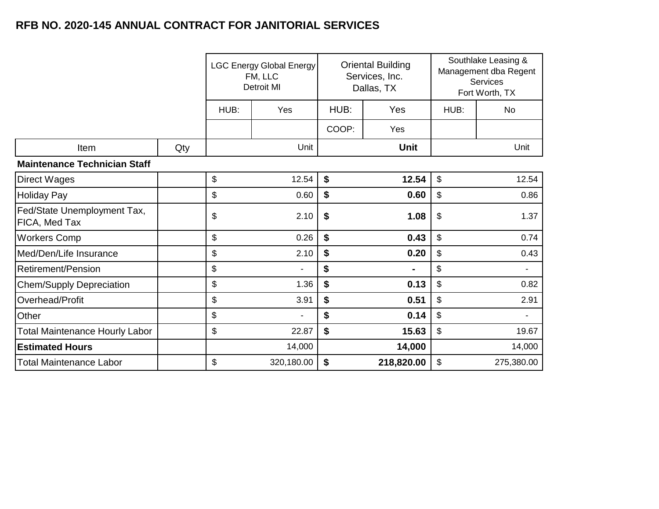|                                              |     | <b>LGC Energy Global Energy</b><br>FM, LLC<br><b>Detroit MI</b> |                |             | <b>Oriental Building</b><br>Services, Inc.<br>Dallas, TX | Southlake Leasing &<br>Management dba Regent<br>Services<br>Fort Worth, TX |                |
|----------------------------------------------|-----|-----------------------------------------------------------------|----------------|-------------|----------------------------------------------------------|----------------------------------------------------------------------------|----------------|
|                                              |     | HUB:                                                            | Yes            |             | HUB:<br>Yes                                              |                                                                            | <b>No</b>      |
|                                              |     |                                                                 |                | COOP:       | Yes                                                      |                                                                            |                |
| Item                                         | Qty |                                                                 | Unit           |             | <b>Unit</b>                                              |                                                                            | Unit           |
| <b>Maintenance Technician Staff</b>          |     |                                                                 |                |             |                                                          |                                                                            |                |
| <b>Direct Wages</b>                          |     | \$                                                              | 12.54          | \$          | 12.54                                                    | \$                                                                         | 12.54          |
| <b>Holiday Pay</b>                           |     | \$                                                              | 0.60           | \$          | 0.60                                                     | $\$\$                                                                      | 0.86           |
| Fed/State Unemployment Tax,<br>FICA, Med Tax |     | \$                                                              | 2.10           | \$          | 1.08                                                     | \$                                                                         | 1.37           |
| <b>Workers Comp</b>                          |     | \$                                                              | 0.26           | \$          | 0.43                                                     | \$                                                                         | 0.74           |
| Med/Den/Life Insurance                       |     | \$                                                              | 2.10           | \$          | 0.20                                                     | \$                                                                         | 0.43           |
| <b>Retirement/Pension</b>                    |     | \$                                                              | $\blacksquare$ | \$          | ۰                                                        | \$                                                                         | $\blacksquare$ |
| <b>Chem/Supply Depreciation</b>              |     | \$                                                              | 1.36           | \$          | 0.13                                                     | \$                                                                         | 0.82           |
| Overhead/Profit                              |     | \$                                                              | 3.91           | \$          | 0.51                                                     | $\$\$                                                                      | 2.91           |
| Other                                        |     | \$                                                              |                | \$          | 0.14                                                     | \$                                                                         | $\blacksquare$ |
| <b>Total Maintenance Hourly Labor</b>        |     | \$<br>22.87                                                     |                | \$<br>15.63 |                                                          | $\boldsymbol{\mathsf{S}}$                                                  | 19.67          |
| <b>Estimated Hours</b>                       |     | 14,000                                                          |                |             | 14,000                                                   | 14,000                                                                     |                |
| <b>Total Maintenance Labor</b>               |     | \$                                                              | 320,180.00     | \$          | 218,820.00                                               | $\$\$                                                                      | 275,380.00     |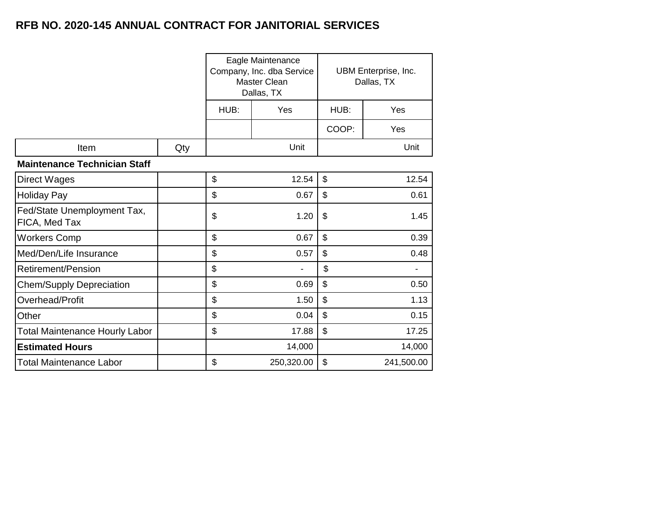|                                              |     |      | Eagle Maintenance<br>Company, Inc. dba Service<br><b>Master Clean</b><br>Dallas, TX | UBM Enterprise, Inc.<br>Dallas, TX |        |  |  |  |
|----------------------------------------------|-----|------|-------------------------------------------------------------------------------------|------------------------------------|--------|--|--|--|
|                                              |     | HUB: | Yes                                                                                 | HUB:                               | Yes    |  |  |  |
|                                              |     |      |                                                                                     | COOP:                              | Yes    |  |  |  |
| Item                                         | Qty |      | Unit                                                                                |                                    | Unit   |  |  |  |
| <b>Maintenance Technician Staff</b>          |     |      |                                                                                     |                                    |        |  |  |  |
| <b>Direct Wages</b>                          |     | \$   | 12.54                                                                               | $\boldsymbol{\mathsf{S}}$          | 12.54  |  |  |  |
| <b>Holiday Pay</b>                           |     | \$   | 0.67                                                                                | $\boldsymbol{\mathsf{S}}$          | 0.61   |  |  |  |
| Fed/State Unemployment Tax,<br>FICA, Med Tax |     | \$   | 1.20                                                                                | \$                                 | 1.45   |  |  |  |
| <b>Workers Comp</b>                          |     | \$   | 0.67                                                                                | $\mathfrak{S}$                     | 0.39   |  |  |  |
| Med/Den/Life Insurance                       |     | \$   | 0.57                                                                                | $\mathfrak{S}$                     | 0.48   |  |  |  |
| <b>Retirement/Pension</b>                    |     | \$   |                                                                                     | \$                                 |        |  |  |  |
| <b>Chem/Supply Depreciation</b>              |     | \$   | 0.69                                                                                | $\mathfrak{S}$                     | 0.50   |  |  |  |
| Overhead/Profit                              |     | \$   | 1.50                                                                                | $\boldsymbol{\mathsf{S}}$          | 1.13   |  |  |  |
| Other                                        |     | \$   | 0.04                                                                                | $\mathfrak{S}$                     | 0.15   |  |  |  |
| <b>Total Maintenance Hourly Labor</b>        |     | \$   | 17.88                                                                               | $\mathfrak{S}$<br>17.25            |        |  |  |  |
| <b>Estimated Hours</b>                       |     |      | 14,000                                                                              |                                    | 14,000 |  |  |  |
| <b>Total Maintenance Labor</b>               |     | \$   | $\$\$<br>250,320.00<br>241,500.00                                                   |                                    |        |  |  |  |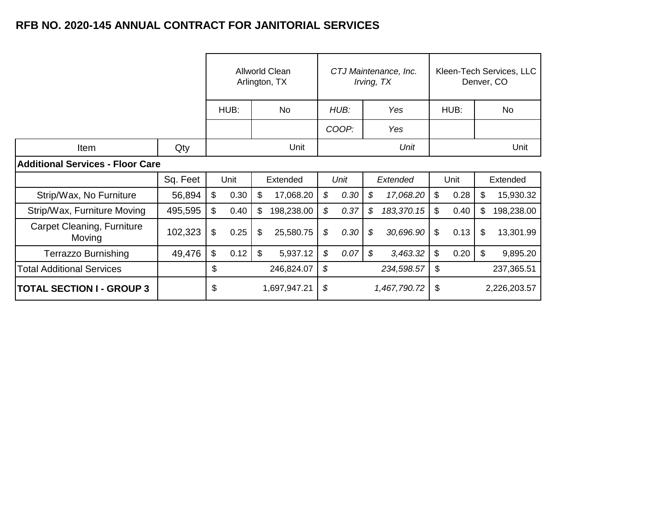|                                         |          | Allworld Clean<br>Arlington, TX |      | CTJ Maintenance, Inc.<br>Irving, TX |            |      | Kleen-Tech Services, LLC<br>Denver, CO |              |            |      |      |    |            |
|-----------------------------------------|----------|---------------------------------|------|-------------------------------------|------------|------|----------------------------------------|--------------|------------|------|------|----|------------|
|                                         |          |                                 | HUB: |                                     | <b>No</b>  | HUB: |                                        | Yes          |            | HUB: |      |    | No         |
|                                         |          |                                 |      |                                     |            |      | COOP:                                  |              | Yes        |      |      |    |            |
| Item                                    | Qty      |                                 | Unit |                                     | Unit       |      |                                        |              |            | Unit |      |    |            |
| <b>Additional Services - Floor Care</b> |          |                                 |      |                                     |            |      |                                        |              |            |      |      |    |            |
|                                         | Sq. Feet |                                 | Unit |                                     | Extended   |      | Unit                                   |              | Extended   |      | Unit |    | Extended   |
| Strip/Wax, No Furniture                 | 56,894   | $\mathfrak{L}$                  | 0.30 | \$                                  | 17,068.20  | \$   | 0.30                                   | \$           | 17,068.20  | \$   | 0.28 | \$ | 15,930.32  |
| Strip/Wax, Furniture Moving             | 495,595  | \$                              | 0.40 | \$                                  | 198,238.00 | \$   | 0.37                                   | \$           | 183,370.15 | \$   | 0.40 | \$ | 198,238.00 |
| Carpet Cleaning, Furniture<br>Moving    | 102,323  | \$                              | 0.25 | \$                                  | 25,580.75  | \$   | 0.30                                   | \$           | 30,696.90  | \$   | 0.13 | \$ | 13,301.99  |
| <b>Terrazzo Burnishing</b>              | 49,476   | \$                              | 0.12 | \$                                  | 5,937.12   | \$   | 0.07                                   | \$           | 3,463.32   | \$   | 0.20 | \$ | 9,895.20   |
| <b>Total Additional Services</b>        |          | \$                              |      |                                     | 246,824.07 | \$   |                                        |              | 234,598.57 | \$   |      |    | 237,365.51 |
| <b>TOTAL SECTION I - GROUP 3</b>        |          | \$<br>1,697,947.21              |      | \$<br>1,467,790.72                  |            | \$   |                                        | 2,226,203.57 |            |      |      |    |            |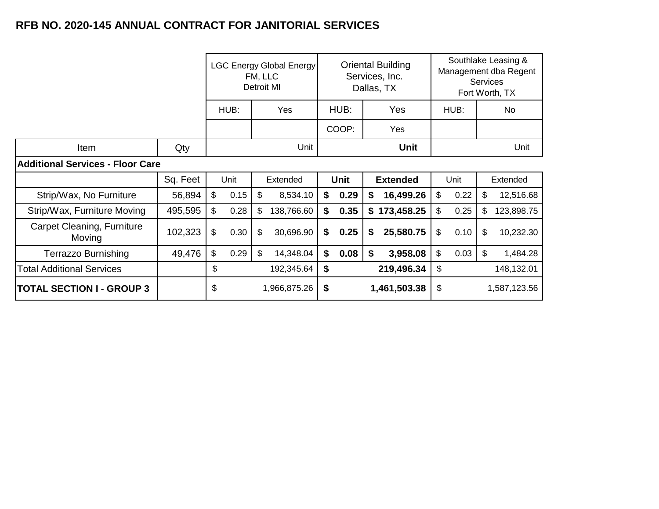|                                         |          | <b>LGC Energy Global Energy</b><br>FM, LLC<br>Detroit MI |      |    | <b>Oriental Building</b><br>Services, Inc.<br>Dallas, TX |    |             |    |                 | Southlake Leasing &<br>Management dba Regent<br><b>Services</b><br>Fort Worth, TX |      |     |              |
|-----------------------------------------|----------|----------------------------------------------------------|------|----|----------------------------------------------------------|----|-------------|----|-----------------|-----------------------------------------------------------------------------------|------|-----|--------------|
|                                         |          |                                                          | HUB: |    | Yes                                                      |    | HUB:<br>Yes |    |                 | HUB:                                                                              |      | No. |              |
|                                         |          |                                                          |      |    | COOP:                                                    |    | Yes         |    |                 |                                                                                   |      |     |              |
| Item                                    | Qty      |                                                          |      |    | Unit                                                     |    |             |    | Unit            |                                                                                   |      |     | Unit         |
| <b>Additional Services - Floor Care</b> |          |                                                          |      |    |                                                          |    |             |    |                 |                                                                                   |      |     |              |
|                                         | Sq. Feet |                                                          | Unit |    | Extended                                                 |    | <b>Unit</b> |    | <b>Extended</b> |                                                                                   | Unit |     | Extended     |
| Strip/Wax, No Furniture                 | 56,894   | \$                                                       | 0.15 | \$ | 8,534.10                                                 | \$ | 0.29        | \$ | 16,499.26       | \$                                                                                | 0.22 | \$  | 12,516.68    |
| Strip/Wax, Furniture Moving             | 495,595  | \$                                                       | 0.28 | \$ | 138,766.60                                               | \$ | 0.35        |    | \$173,458.25    | \$                                                                                | 0.25 | \$  | 123,898.75   |
| Carpet Cleaning, Furniture<br>Moving    | 102,323  | \$                                                       | 0.30 | \$ | 30,696.90                                                | \$ | 0.25        | \$ | 25,580.75       | \$                                                                                | 0.10 | \$  | 10,232.30    |
| <b>Terrazzo Burnishing</b>              | 49,476   | \$                                                       | 0.29 | \$ | 14,348.04                                                | \$ | 0.08        | \$ | 3,958.08        | \$                                                                                | 0.03 | \$  | 1,484.28     |
| <b>Total Additional Services</b>        |          | \$                                                       |      |    | 192,345.64                                               | \$ |             |    | 219,496.34      | \$                                                                                |      |     | 148,132.01   |
| <b>TOTAL SECTION I - GROUP 3</b>        |          | \$                                                       |      |    | 1,966,875.26                                             | \$ |             |    | 1,461,503.38    | \$                                                                                |      |     | 1,587,123.56 |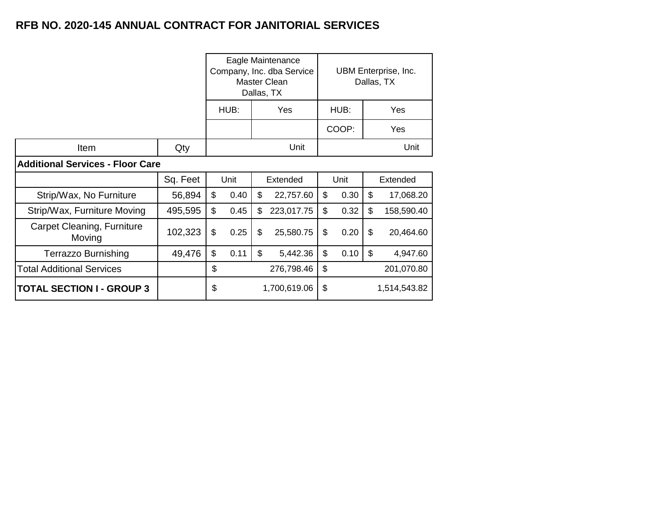Terrazzo Burnishing | 49,476

Total Additional Services

**TOTAL SECTION I - GROUP 3** 

|                                         |          |                               |      | Eagle Maintenance<br>Company, Inc. dba Service<br>Master Clean<br>Dallas, TX | UBM Enterprise, Inc.<br>Dallas, TX |      |       |          |            |
|-----------------------------------------|----------|-------------------------------|------|------------------------------------------------------------------------------|------------------------------------|------|-------|----------|------------|
|                                         |          | Yes<br>HUB:                   |      |                                                                              |                                    |      | HUB:  |          | Yes        |
|                                         |          |                               |      |                                                                              |                                    |      | COOP: |          | Yes        |
| Item                                    | Qty      | Unit                          |      |                                                                              |                                    |      |       |          | Unit       |
| <b>Additional Services - Floor Care</b> |          |                               |      |                                                                              |                                    |      |       |          |            |
|                                         | Sq. Feet |                               | Unit |                                                                              | Extended                           | Unit |       | Extended |            |
| Strip/Wax, No Furniture                 | 56,894   | \$                            | 0.40 | \$                                                                           | 22,757.60                          | \$   | 0.30  | \$       | 17,068.20  |
| Strip/Wax, Furniture Moving             | 495,595  | \$                            | 0.45 | \$                                                                           | 223,017.75                         | \$   | 0.32  | \$       | 158,590.40 |
| Carpet Cleaning, Furniture<br>Moving    | 102,323  | \$<br>\$<br>0.25<br>25,580.75 |      |                                                                              |                                    | \$   | 0.20  | \$       | 20,464.60  |

 $\frac{1}{2}$  6.11 \ 5 5,442.36 \ \ 5 \ 0.10 \ \ \$ 4,947.60

 $\text{\$}$  276,798.46 \\ \ \ \ 201,070.80

 $$ 1,700,619.06$ 

\$ 1,514,543.82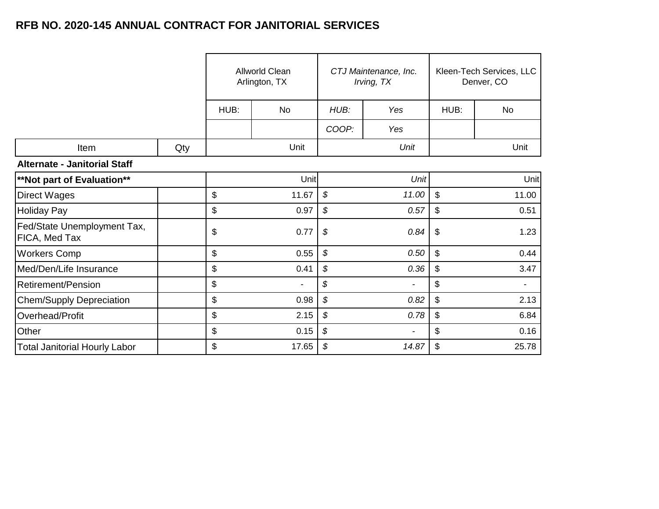|                                                     |     |      | <b>Allworld Clean</b><br>Arlington, TX |                            | CTJ Maintenance, Inc.<br>Irving, TX | Kleen-Tech Services, LLC<br>Denver, CO |                |  |
|-----------------------------------------------------|-----|------|----------------------------------------|----------------------------|-------------------------------------|----------------------------------------|----------------|--|
|                                                     |     | HUB: | <b>No</b>                              | HUB:                       | Yes                                 | HUB:                                   | No             |  |
|                                                     |     |      |                                        | COOP:                      | Yes                                 |                                        |                |  |
| Item                                                | Qty |      | Unit                                   |                            | Unit                                |                                        | Unit           |  |
| <b>Alternate - Janitorial Staff</b>                 |     |      |                                        |                            |                                     |                                        |                |  |
| <b>**Not part of Evaluation**</b>                   |     |      | Unit                                   |                            | Unit                                |                                        | Unit           |  |
| <b>Direct Wages</b>                                 |     | \$   | 11.67                                  | $\mathcal{S}$              | 11.00                               | $\mathfrak{S}$                         | 11.00          |  |
| Holiday Pay                                         |     | \$   | 0.97                                   | \$                         | 0.57                                | \$                                     | 0.51           |  |
| Fed/State Unemployment Tax,<br><b>FICA, Med Tax</b> |     | \$   | 0.77                                   | $\boldsymbol{\mathcal{S}}$ | 0.84                                | \$                                     | 1.23           |  |
| <b>Workers Comp</b>                                 |     | \$   | 0.55                                   | \$                         | 0.50                                | \$                                     | 0.44           |  |
| Med/Den/Life Insurance                              |     | \$   | 0.41                                   | \$                         | 0.36                                | \$                                     | 3.47           |  |
| <b>Retirement/Pension</b>                           |     | \$   |                                        | \$                         | $\overline{\phantom{a}}$            | \$                                     | $\blacksquare$ |  |
| Chem/Supply Depreciation                            |     | \$   | 0.98                                   | \$                         | 0.82                                | \$                                     | 2.13           |  |
| Overhead/Profit                                     |     | \$   | 2.15                                   | \$                         | 0.78                                | \$                                     | 6.84           |  |
| Other                                               |     | \$   | 0.15                                   | \$                         | $\blacksquare$                      | \$                                     | 0.16           |  |
| <b>Total Janitorial Hourly Labor</b>                |     | \$   | 17.65                                  | \$                         | 14.87                               | \$                                     | 25.78          |  |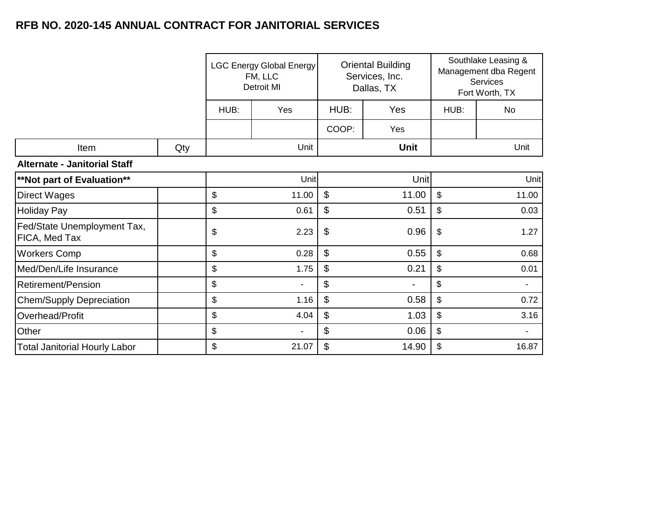|                                              |     | <b>LGC Energy Global Energy</b><br>FM, LLC<br>Detroit MI |                |                           | <b>Oriental Building</b><br>Services, Inc.<br>Dallas, TX | Southlake Leasing &<br>Management dba Regent<br>Services<br>Fort Worth, TX |                |
|----------------------------------------------|-----|----------------------------------------------------------|----------------|---------------------------|----------------------------------------------------------|----------------------------------------------------------------------------|----------------|
|                                              |     | HUB:                                                     | Yes            |                           | HUB:<br>Yes                                              |                                                                            | <b>No</b>      |
|                                              |     |                                                          |                | COOP:                     | Yes                                                      |                                                                            |                |
| Item                                         | Qty |                                                          | Unit           |                           | <b>Unit</b>                                              |                                                                            | Unit           |
| <b>Alternate - Janitorial Staff</b>          |     |                                                          |                |                           |                                                          |                                                                            |                |
| <b>**Not part of Evaluation**</b>            |     |                                                          | Unit           |                           | Unit                                                     |                                                                            | Unit           |
| <b>Direct Wages</b>                          |     | \$                                                       | 11.00          | $\boldsymbol{\mathsf{S}}$ | 11.00                                                    | $\mathfrak{S}$                                                             | 11.00          |
| <b>Holiday Pay</b>                           |     | \$                                                       | 0.61           | \$                        | 0.51                                                     | \$                                                                         | 0.03           |
| Fed/State Unemployment Tax,<br>FICA, Med Tax |     | \$                                                       | 2.23           | \$                        | 0.96                                                     | \$                                                                         | 1.27           |
| <b>Workers Comp</b>                          |     | \$                                                       | 0.28           | $\mathfrak{S}$            | 0.55                                                     | \$                                                                         | 0.68           |
| Med/Den/Life Insurance                       |     | \$                                                       | 1.75           | $\boldsymbol{\mathsf{S}}$ | 0.21                                                     | \$                                                                         | 0.01           |
| Retirement/Pension                           |     | \$                                                       |                | $\mathfrak{S}$            | ۰                                                        | \$                                                                         |                |
| <b>Chem/Supply Depreciation</b>              |     | \$                                                       | 1.16           | \$                        | 0.58                                                     | \$                                                                         | 0.72           |
| Overhead/Profit                              |     | \$                                                       | 4.04           | \$                        | 1.03                                                     | \$                                                                         | 3.16           |
| Other                                        |     | \$                                                       | $\blacksquare$ | \$                        | 0.06                                                     | \$                                                                         | $\blacksquare$ |
| <b>Total Janitorial Hourly Labor</b>         |     | \$                                                       | 21.07          | \$                        | 14.90                                                    | \$                                                                         | 16.87          |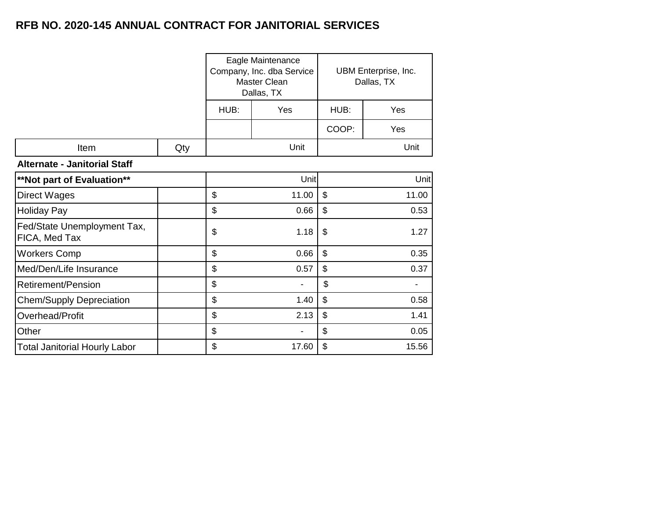|                                              |     |      | Eagle Maintenance<br>Company, Inc. dba Service<br>Master Clean<br>Dallas, TX |                | UBM Enterprise, Inc.<br>Dallas, TX |  |  |  |
|----------------------------------------------|-----|------|------------------------------------------------------------------------------|----------------|------------------------------------|--|--|--|
|                                              |     | HUB: | Yes                                                                          | HUB:           | Yes                                |  |  |  |
|                                              |     |      |                                                                              | COOP:          | Yes                                |  |  |  |
| Item                                         | Qty |      | Unit                                                                         |                | Unit                               |  |  |  |
| <b>Alternate - Janitorial Staff</b>          |     |      |                                                                              |                |                                    |  |  |  |
| **Not part of Evaluation**                   |     |      | Unit                                                                         |                | Unit                               |  |  |  |
| <b>Direct Wages</b>                          |     | \$   | 11.00                                                                        | $\mathfrak{S}$ | 11.00                              |  |  |  |
| <b>Holiday Pay</b>                           |     | \$   | 0.66                                                                         | $\mathfrak{S}$ | 0.53                               |  |  |  |
| Fed/State Unemployment Tax,<br>FICA, Med Tax |     | \$   | 1.18                                                                         | \$             | 1.27                               |  |  |  |
| <b>Workers Comp</b>                          |     | \$   | 0.66                                                                         | $\mathfrak{S}$ | 0.35                               |  |  |  |
| Med/Den/Life Insurance                       |     | \$   | 0.57                                                                         | $\mathfrak{S}$ | 0.37                               |  |  |  |
| Retirement/Pension                           |     | \$   |                                                                              | \$             |                                    |  |  |  |
| <b>Chem/Supply Depreciation</b>              |     | \$   | 1.40                                                                         | $\mathbb{S}$   | 0.58                               |  |  |  |
| Overhead/Profit                              |     | \$   | 2.13                                                                         | \$             | 1.41                               |  |  |  |
| Other                                        |     | \$   |                                                                              | \$             | 0.05                               |  |  |  |
| <b>Total Janitorial Hourly Labor</b>         |     | \$   | 17.60                                                                        | \$             | 15.56                              |  |  |  |
|                                              |     |      |                                                                              |                |                                    |  |  |  |